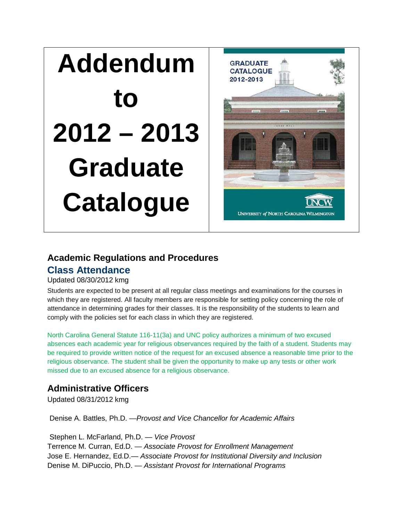# **Addendum to 2012 – 2013 Graduate Catalogue**



# **Academic Regulations and Procedures**

# **Class Attendance**

#### Updated 08/30/2012 kmg

Students are expected to be present at all regular class meetings and examinations for the courses in which they are registered. All faculty members are responsible for setting policy concerning the role of attendance in determining grades for their classes. It is the responsibility of the students to learn and comply with the policies set for each class in which they are registered.

North Carolina General Statute 116-11(3a) and UNC policy authorizes a minimum of two excused absences each academic year for religious observances required by the faith of a student. Students may be required to provide written notice of the request for an excused absence a reasonable time prior to the religious observance. The student shall be given the opportunity to make up any tests or other work missed due to an excused absence for a religious observance.

# **Administrative Officers**

Updated 08/31/2012 kmg

Denise A. Battles, Ph.D. —*Provost and Vice Chancellor for Academic Affairs*

Stephen L. McFarland, Ph.D. — *Vice Provost*  Terrence M. Curran, Ed.D. — *Associate Provost for Enrollment Management*  Jose E. Hernandez, Ed.D.— *Associate Provost for Institutional Diversity and Inclusion*  Denise M. DiPuccio, Ph.D. — *Assistant Provost for International Programs*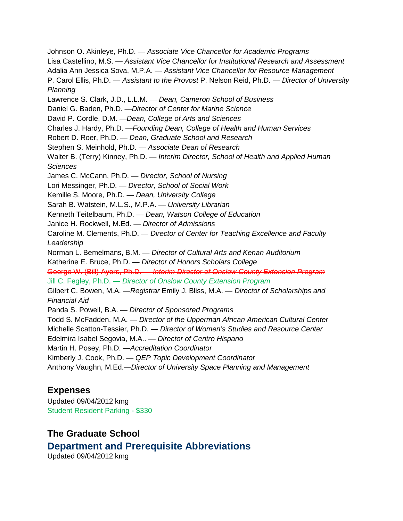Johnson O. Akinleye, Ph.D. — *Associate Vice Chancellor for Academic Programs*  Lisa Castellino, M.S. — *Assistant Vice Chancellor for Institutional Research and Assessment*  Adalia Ann Jessica Sova, M.P.A. — *Assistant Vice Chancellor for Resource Management*  P. Carol Ellis, Ph.D. — *Assistant to the Provost* P. Nelson Reid, Ph.D. — *Director of University Planning*  Lawrence S. Clark, J.D., L.L.M. — *Dean, Cameron School of Business*  Daniel G. Baden, Ph.D. —*Director of Center for Marine Science*  David P. Cordle, D.M. —*Dean, College of Arts and Sciences*  Charles J. Hardy, Ph.D. —*Founding Dean, College of Health and Human Services*  Robert D. Roer, Ph.D. — *Dean, Graduate School and Research*  Stephen S. Meinhold, Ph.D. — *Associate Dean of Research*  Walter B. (Terry) Kinney, Ph.D. — *Interim Director, School of Health and Applied Human Sciences*  James C. McCann, Ph.D. — *Director, School of Nursing*  Lori Messinger, Ph.D. — *Director, School of Social Work*  Kemille S. Moore, Ph.D. — *Dean, University College*  Sarah B. Watstein, M.L.S., M.P.A. — *University Librarian*  Kenneth Teitelbaum, Ph.D. — *Dean, Watson College of Education* Janice H. Rockwell, M.Ed. — *Director of Admissions*  Caroline M. Clements, Ph.D. — *Director of Center for Teaching Excellence and Faculty Leadership*  Norman L. Bemelmans, B.M. — *Director of Cultural Arts and Kenan Auditorium*  Katherine E. Bruce, Ph.D. — *Director of Honors Scholars College*  George W. (Bill) Ayers, Ph.D. — *Interim Director of Onslow County Extension Program*  Jill C. Fegley, Ph.D. — *Director of Onslow County Extension Program*  Gilbert C. Bowen, M.A. —*Registrar* Emily J. Bliss, M.A. — *Director of Scholarships and Financial Aid*  Panda S. Powell, B.A. — *Director of Sponsored Programs*  Todd S. McFadden, M.A. — *Director of the Upperman African American Cultural Center*  Michelle Scatton-Tessier, Ph.D. — *Director of Women's Studies and Resource Center*  Edelmira Isabel Segovia, M.A.. — *Director of Centro Hispano*  Martin H. Posey, Ph.D. —*Accreditation Coordinator*  Kimberly J. Cook, Ph.D. — *QEP Topic Development Coordinator*  Anthony Vaughn, M.Ed.—*Director of University Space Planning and Management*

# **Expenses**

Updated 09/04/2012 kmg Student Resident Parking - \$330

# **The Graduate School Department and Prerequisite Abbreviations** Updated 09/04/2012 kmg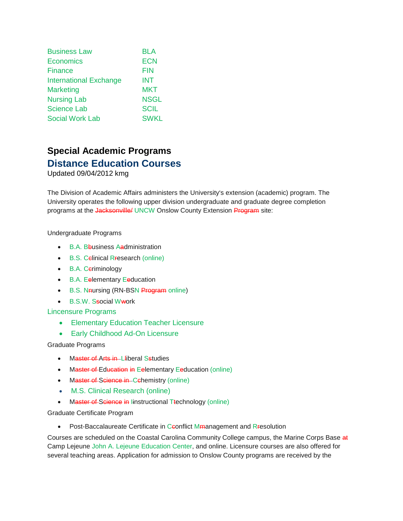| <b>Business Law</b>           | <b>BLA</b>  |
|-------------------------------|-------------|
| Economics                     | <b>ECN</b>  |
| Finance                       | <b>FIN</b>  |
| <b>International Exchange</b> | <b>INT</b>  |
| <b>Marketing</b>              | <b>MKT</b>  |
| <b>Nursing Lab</b>            | <b>NSGL</b> |
| <b>Science Lab</b>            | <b>SCIL</b> |
| <b>Social Work Lab</b>        | <b>SWKL</b> |

# **Special Academic Programs Distance Education Courses**

Updated 09/04/2012 kmg

The Division of Academic Affairs administers the University's extension (academic) program. The University operates the following upper division undergraduate and graduate degree completion programs at the Jacksonville/ UNCW Onslow County Extension Program site:

Undergraduate Programs

- B.A. Bbusiness Aadministration
- B.S. Celinical Rresearch (online)
- B.A. Ceriminology
- B.A. Eelementary Eeducation
- B.S. Naursing (RN-BSN Program online)
- B.S.W. Ssocial Wwork

#### Lincensure Programs

- Elementary Education Teacher Licensure
- Early Childhood Ad-On Licensure

Graduate Programs

- Master of Arts in Lliberal Sstudies
- Master of Education in Eelementary Eeducation (online)
- Master of Science in Cchemistry (online)
- M.S. Clinical Research (online)
- Master of Science in linstructional Ttechnology (online)

Graduate Certificate Program

• Post-Baccalaureate Certificate in Ceonflict Mmanagement and Rresolution

Courses are scheduled on the Coastal Carolina Community College campus, the Marine Corps Base at Camp Lejeune John A. Lejeune Education Center, and online. Licensure courses are also offered for several teaching areas. Application for admission to Onslow County programs are received by the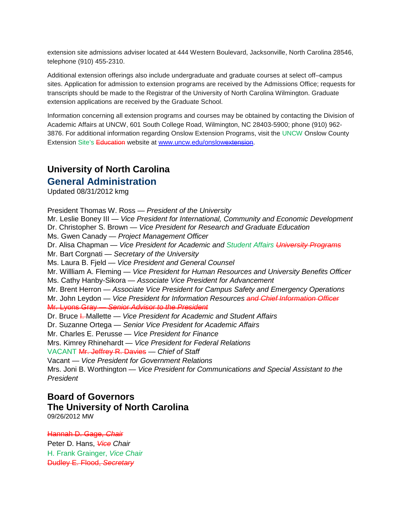extension site admissions adviser located at 444 Western Boulevard, Jacksonville, North Carolina 28546, telephone (910) 455-2310.

Additional extension offerings also include undergraduate and graduate courses at select off–campus sites. Application for admission to extension programs are received by the Admissions Office; requests for transcripts should be made to the Registrar of the University of North Carolina Wilmington. Graduate extension applications are received by the Graduate School.

Information concerning all extension programs and courses may be obtained by contacting the Division of Academic Affairs at UNCW, 601 South College Road, Wilmington, NC 28403-5900; phone (910) 962- 3876. For additional information regarding Onslow Extension Programs, visit the UNCW Onslow County Extension Site's Education website at [www.uncw.edu/onslowextension.](http://www.uncw.edu/onslowextension)

# **University of North Carolina**

# **General Administration**

Updated 08/31/2012 kmg

President Thomas W. Ross — *President of the University*  Mr. Leslie Boney III — *Vice President for International, Community and Economic Development*  Dr. Christopher S. Brown — *Vice President for Research and Graduate Education*  Ms. Gwen Canady — *Project Management Officer*  Dr. Alisa Chapman — *Vice President for Academic and Student Affairs University Programs* Mr. Bart Corgnati — *Secretary of the University*  Ms. Laura B. Fjeld — *Vice President and General Counsel*  Mr. Willliam A. Fleming — *Vice President for Human Resources and University Benefits Officer*  Ms. Cathy Hanby-Sikora — *Associate Vice President for Advancement*  Mr. Brent Herron — *Associate Vice President for Campus Safety and Emergency Operations*  Mr. John Leydon — *Vice President for Information Resources and Chief Information Officer* Mr. Lyons Gray — *Senior Advisor to the President*  Dr. Bruce I. Mallette — *Vice President for Academic and Student Affairs*  Dr. Suzanne Ortega — *Senior Vice President for Academic Affairs*  Mr. Charles E. Perusse — *Vice President for Finance*  Mrs. Kimrey Rhinehardt — *Vice President for Federal Relations*  VACANT Mr. Jeffrey R. Davies — *Chief of Staff*  Vacant — *Vice President for Government Relations*  Mrs. Joni B. Worthington — *Vice President for Communications and Special Assistant to the President*

# **Board of Governors The University of North Carolina**

09/26/2012 MW

Hannah D. Gage, *Chair*  Peter D. Hans, *Vice Chair*  H. Frank Grainger, *Vice Chair*  Dudley E. Flood, *Secretary*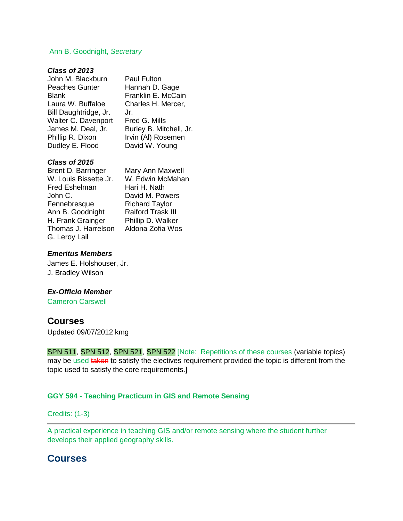#### Ann B. Goodnight, *Secretary*

#### *Class of 2013*

| John M. Blackburn     | Paul Fulton             |
|-----------------------|-------------------------|
| <b>Peaches Gunter</b> | Hannah D. Gage          |
| <b>Blank</b>          | Franklin E. McCain      |
| Laura W. Buffaloe     | Charles H. Mercer,      |
| Bill Daughtridge, Jr. | Jr.                     |
| Walter C. Davenport   | Fred G. Mills           |
| James M. Deal, Jr.    | Burley B. Mitchell, Jr. |
| Phillip R. Dixon      | Irvin (AI) Rosemen      |
| Dudley E. Flood       | David W. Young          |
|                       |                         |

# *Class of 2015*

| Brent D. Barringer    | Mary An              |
|-----------------------|----------------------|
| W. Louis Bissette Jr. | W. Edwi              |
| <b>Fred Eshelman</b>  | Hari H. I            |
| John C.               | David M              |
| Fennebresque          | Richard              |
| Ann B. Goodnight      | Raiford <sup>-</sup> |
| H. Frank Grainger     | Phillip D            |
| Thomas J. Harrelson   | Aldona 2             |
| G. Leroy Lail         |                      |
|                       |                      |

n Maxwell in McMahan Nath l. Powers Taylor Trask III . Walker Zofia Wos

#### *Emeritus Members*

James E. Holshouser, Jr. J. Bradley Wilson

#### *Ex-Officio Member*

Cameron Carswell

#### **Courses**

Updated 09/07/2012 kmg

SPN 511, SPN 512, SPN 521, SPN 522 [Note: Repetitions of these courses (variable topics) may be used taken to satisfy the electives requirement provided the topic is different from the topic used to satisfy the core requirements.]

#### **GGY 594 - Teaching Practicum in GIS and Remote Sensing**

#### Credits: (1-3)

A practical experience in teaching GIS and/or remote sensing where the student further develops their applied geography skills.

# **Courses**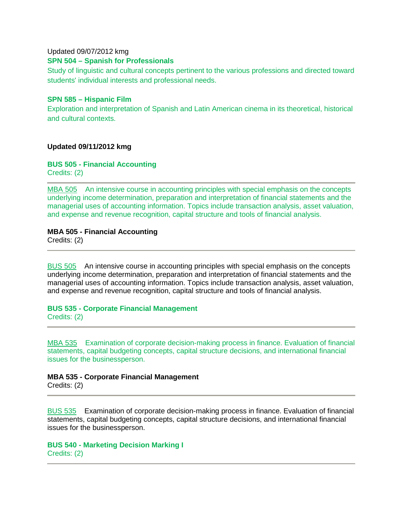#### Updated 09/07/2012 kmg

#### **SPN 504 – Spanish for Professionals**

Study of linguistic and cultural concepts pertinent to the various professions and directed toward students' individual interests and professional needs.

#### **SPN 585 – Hispanic Film**

Exploration and interpretation of Spanish and Latin American cinema in its theoretical, historical and cultural contexts.

#### **Updated 09/11/2012 kmg**

#### **BUS 505 - Financial Accounting**

Credits: (2)

[MBA 505](https://uncw.acalogadmin.com/preview/preview_course.php?courseoid=28980&catoid=10&preview#tt2650) An intensive course in accounting principles with special emphasis on the concepts underlying income determination, preparation and interpretation of financial statements and the managerial uses of accounting information. Topics include transaction analysis, asset valuation, and expense and revenue recognition, capital structure and tools of financial analysis.

#### **MBA 505 - Financial Accounting**

Credits: (2)

[BUS 505](https://uncw.acalogadmin.com/preview/preview_course.php?courseoid=17862&catoid=10&preview#tt6773) An intensive course in accounting principles with special emphasis on the concepts underlying income determination, preparation and interpretation of financial statements and the managerial uses of accounting information. Topics include transaction analysis, asset valuation, and expense and revenue recognition, capital structure and tools of financial analysis.

# **BUS 535 - Corporate Financial Management**

Credits: (2)

[MBA 535](https://uncw.acalogadmin.com/preview/preview_course.php?courseoid=28981&catoid=10&preview#tt8610) Examination of corporate decision-making process in finance. Evaluation of financial statements, capital budgeting concepts, capital structure decisions, and international financial issues for the businessperson.

#### **MBA 535 - Corporate Financial Management**

Credits: (2)

[BUS 535](https://uncw.acalogadmin.com/preview/preview_course.php?courseoid=17878&catoid=10&preview#tt1406) Examination of corporate decision-making process in finance. Evaluation of financial statements, capital budgeting concepts, capital structure decisions, and international financial issues for the businessperson.

**BUS 540 - Marketing Decision Marking I** Credits: (2)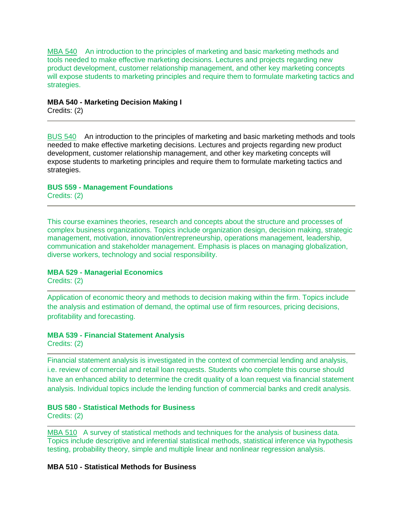[MBA 540](https://uncw.acalogadmin.com/preview/preview_course.php?courseoid=28979&catoid=10&preview#tt8842) An introduction to the principles of marketing and basic marketing methods and tools needed to make effective marketing decisions. Lectures and projects regarding new product development, customer relationship management, and other key marketing concepts will expose students to marketing principles and require them to formulate marketing tactics and strategies.

#### **MBA 540 - Marketing Decision Making I**

Credits: (2)

[BUS 540](https://uncw.acalogadmin.com/preview/preview_course.php?courseoid=17880&catoid=10&preview#tt5550) An introduction to the principles of marketing and basic marketing methods and tools needed to make effective marketing decisions. Lectures and projects regarding new product development, customer relationship management, and other key marketing concepts will expose students to marketing principles and require them to formulate marketing tactics and strategies.

# **BUS 559 - Management Foundations**

Credits: (2)

This course examines theories, research and concepts about the structure and processes of complex business organizations. Topics include organization design, decision making, strategic management, motivation, innovation/entrepreneurship, operations management, leadership, communication and stakeholder management. Emphasis is places on managing globalization, diverse workers, technology and social responsibility.

#### **MBA 529 - Managerial Economics**

Credits: (2)

Application of economic theory and methods to decision making within the firm. Topics include the analysis and estimation of demand, the optimal use of firm resources, pricing decisions, profitability and forecasting.

#### **MBA 539 - Financial Statement Analysis**

Credits: (2)

Financial statement analysis is investigated in the context of commercial lending and analysis, i.e. review of commercial and retail loan requests. Students who complete this course should have an enhanced ability to determine the credit quality of a loan request via financial statement analysis. Individual topics include the lending function of commercial banks and credit analysis.

#### **BUS 580 - Statistical Methods for Business**

Credits: (2)

MBA 510 A survey of statistical methods and techniques for the analysis of business data. Topics include descriptive and inferential statistical methods, statistical inference via hypothesis testing, probability theory, simple and multiple linear and nonlinear regression analysis.

#### **MBA 510 - Statistical Methods for Business**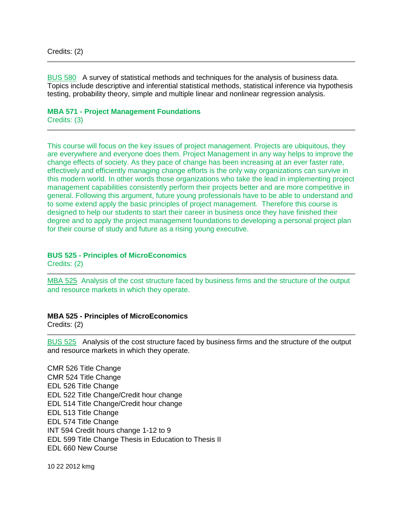[BUS 580](https://uncw.acalogadmin.com/preview/preview_course.php?courseoid=17864&catoid=10&preview#tt5378) A survey of statistical methods and techniques for the analysis of business data. Topics include descriptive and inferential statistical methods, statistical inference via hypothesis testing, probability theory, simple and multiple linear and nonlinear regression analysis.

**MBA 571 - Project Management Foundations** Credits: (3)

This course will focus on the key issues of project management. Projects are ubiquitous, they are everywhere and everyone does them. Project Management in any way helps to improve the change effects of society. As they pace of change has been increasing at an ever faster rate, effectively and efficiently managing change efforts is the only way organizations can survive in this modern world. In other words those organizations who take the lead in implementing project management capabilities consistently perform their projects better and are more competitive in general. Following this argument, future young professionals have to be able to understand and to some extend apply the basic principles of project management. Therefore this course is designed to help our students to start their career in business once they have finished their degree and to apply the project management foundations to developing a personal project plan for their course of study and future as a rising young executive.

#### **BUS 525 - Principles of MicroEconomics**

Credits: (2)

[MBA 525](https://uncw.acalogadmin.com/preview/preview_course.php?courseoid=28986&catoid=10&preview#tt9123) Analysis of the cost structure faced by business firms and the structure of the output and resource markets in which they operate.

#### **MBA 525 - Principles of MicroEconomics**

Credits: (2)

[BUS 525](https://uncw.acalogadmin.com/preview/preview_course.php?courseoid=17872&catoid=10&preview#tt6725) Analysis of the cost structure faced by business firms and the structure of the output and resource markets in which they operate.

CMR 526 Title Change CMR 524 Title Change EDL 526 Title Change EDL 522 Title Change/Credit hour change EDL 514 Title Change/Credit hour change EDL 513 Title Change EDL 574 Title Change INT 594 Credit hours change 1-12 to 9 EDL 599 Title Change Thesis in Education to Thesis II EDL 660 New Course

10 22 2012 kmg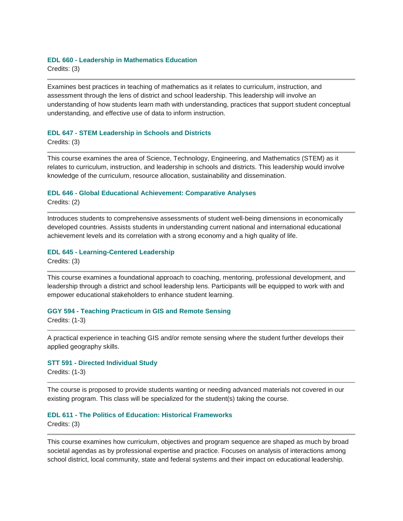#### **EDL 660 - Leadership in Mathematics Education**

Credits: (3)

Examines best practices in teaching of mathematics as it relates to curriculum, instruction, and assessment through the lens of district and school leadership. This leadership will involve an understanding of how students learn math with understanding, practices that support student conceptual understanding, and effective use of data to inform instruction.

#### **EDL 647 - STEM Leadership in Schools and Districts**

Credits: (3)

This course examines the area of Science, Technology, Engineering, and Mathematics (STEM) as it relates to curriculum, instruction, and leadership in schools and districts. This leadership would involve knowledge of the curriculum, resource allocation, sustainability and dissemination.

#### **EDL 646 - Global Educational Achievement: Comparative Analyses**

Credits: (2)

Introduces students to comprehensive assessments of student well-being dimensions in economically developed countries. Assists students in understanding current national and international educational achievement levels and its correlation with a strong economy and a high quality of life.

#### **EDL 645 - Learning-Centered Leadership**

Credits: (3)

This course examines a foundational approach to coaching, mentoring, professional development, and leadership through a district and school leadership lens. Participants will be equipped to work with and empower educational stakeholders to enhance student learning.

#### **GGY 594 - Teaching Practicum in GIS and Remote Sensing**

Credits: (1-3)

A practical experience in teaching GIS and/or remote sensing where the student further develops their applied geography skills.

#### **STT 591 - Directed Individual Study**

Credits: (1-3)

The course is proposed to provide students wanting or needing advanced materials not covered in our existing program. This class will be specialized for the student(s) taking the course.

#### **EDL 611 - The Politics of Education: Historical Frameworks**

Credits: (3)

This course examines how curriculum, objectives and program sequence are shaped as much by broad societal agendas as by professional expertise and practice. Focuses on analysis of interactions among school district, local community, state and federal systems and their impact on educational leadership.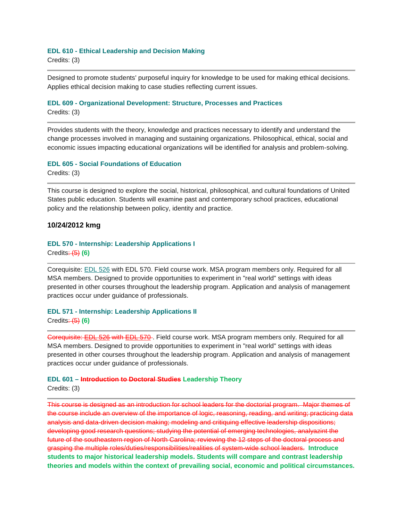#### **EDL 610 - Ethical Leadership and Decision Making**

Credits: (3)

Designed to promote students' purposeful inquiry for knowledge to be used for making ethical decisions. Applies ethical decision making to case studies reflecting current issues.

#### **EDL 609 - Organizational Development: Structure, Processes and Practices**

Credits: (3)

Provides students with the theory, knowledge and practices necessary to identify and understand the change processes involved in managing and sustaining organizations. Philosophical, ethical, social and economic issues impacting educational organizations will be identified for analysis and problem-solving.

# **EDL 605 - Social Foundations of Education**

Credits: (3)

This course is designed to explore the social, historical, philosophical, and cultural foundations of United States public education. Students will examine past and contemporary school practices, educational policy and the relationship between policy, identity and practice.

#### **10/24/2012 kmg**

# **EDL 570 - Internship: Leadership Applications I**

Credits: (5) **(6)**

Corequisite: [EDL 526](https://uncw.acalogadmin.com/preview/preview_course.php?courseoid=17458&catoid=10&preview#tt4139) with EDL 570. Field course work. MSA program members only. Required for all MSA members. Designed to provide opportunities to experiment in "real world" settings with ideas presented in other courses throughout the leadership program. Application and analysis of management practices occur under guidance of professionals.

#### **EDL 571 - Internship: Leadership Applications II** Credits: (5) **(6)**

Corequisite: [EDL 526](https://uncw.acalogadmin.com/preview/preview_course.php?courseoid=17459&catoid=10&preview#tt1214) with [EDL 570](https://uncw.acalogadmin.com/preview/preview_course.php?courseoid=17459&catoid=10&preview#tt6908) . Field course work. MSA program members only. Required for all MSA members. Designed to provide opportunities to experiment in "real world" settings with ideas presented in other courses throughout the leadership program. Application and analysis of management practices occur under guidance of professionals.

#### **EDL 601 – Introduction to Doctoral Studies Leadership Theory**

Credits: (3)

This course is designed as an introduction for school leaders for the doctorial program. Major themes of the course include an overview of the importance of logic, reasoning, reading, and writing; practicing data analysis and data-driven decision making; modeling and critiquing effective leadership dispositions; developing good research questions; studying the potential of emerging technologies, analyazint the future of the southeastern region of North Carolina; reviewing the 12 steps of the doctoral process and grasping the multiple roles/duties/responsibilities/realities of system-wide school leaders. **Introduce students to major historical leadership models. Students will compare and contrast leadership theories and models within the context of prevailing social, economic and political circumstances.**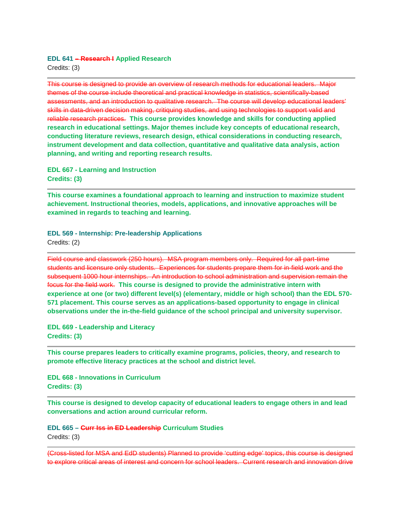#### **EDL 641 – Research I Applied Research**

Credits: (3)

This course is designed to provide an overview of research methods for educational leaders. Major themes of the course include theoretical and practical knowledge in statistics, scientifically-based assessments, and an introduction to qualitative research. The course will develop educational leaders' skills in data-driven decision making, critiquing studies, and using technologies to support valid and reliable research practices. **This course provides knowledge and skills for conducting applied research in educational settings. Major themes include key concepts of educational research, conducting literature reviews, research design, ethical considerations in conducting research, instrument development and data collection, quantitative and qualitative data analysis, action planning, and writing and reporting research results.**

**EDL 667 - Learning and Instruction Credits: (3)** 

**This course examines a foundational approach to learning and instruction to maximize student achievement. Instructional theories, models, applications, and innovative approaches will be examined in regards to teaching and learning.**

**EDL 569 - Internship: Pre-leadership Applications** Credits: (2)

Field course and classwork (250 hours). MSA program members only. Required for all part-time students and licensure only students. Experiences for students prepare them for in-field work and the subsequent 1000 hour internships. An introduction to school administration and supervision remain the focus for the field work. **This course is designed to provide the administrative intern with experience at one (or two) different level(s) (elementary, middle or high school) than the EDL 570- 571 placement. This course serves as an applications-based opportunity to engage in clinical observations under the in-the-field guidance of the school principal and university supervisor.**

**EDL 669 - Leadership and Literacy Credits: (3)** 

**This course prepares leaders to critically examine programs, policies, theory, and research to promote effective literacy practices at the school and district level.**

**EDL 668 - Innovations in Curriculum Credits: (3)** 

**This course is designed to develop capacity of educational leaders to engage others in and lead conversations and action around curricular reform.**

**EDL 665 – Curr Iss in ED Leadership Curriculum Studies** Credits: (3)

(Cross-listed for MSA and EdD students) Planned to provide 'cutting edge' topics, this course is designed to explore critical areas of interest and concern for school leaders. Current research and innovation drive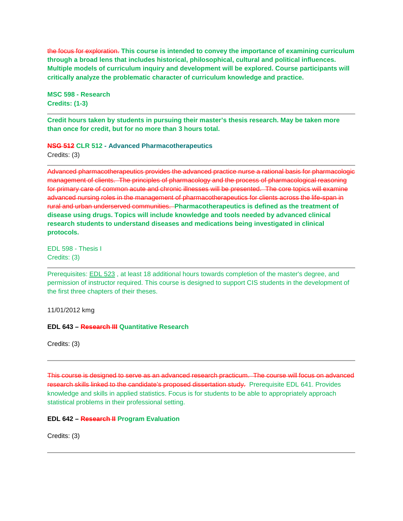the focus for exploration. **This course is intended to convey the importance of examining curriculum through a broad lens that includes historical, philosophical, cultural and political influences. Multiple models of curriculum inquiry and development will be explored. Course participants will critically analyze the problematic character of curriculum knowledge and practice.**

**MSC 598 - Research Credits: (1-3)** 

**Credit hours taken by students in pursuing their master's thesis research. May be taken more than once for credit, but for no more than 3 hours total.**

**NSG 512 CLR 512 - Advanced Pharmacotherapeutics**

Credits: (3)

Advanced pharmacotherapeutics provides the advanced practice nurse a rational basis for pharmacologic management of clients. The principles of pharmacology and the process of pharmacological reasoning for primary care of common acute and chronic illnesses will be presented. The core topics will examine advanced nursing roles in the management of pharmacotherapeutics for clients across the life-span in rural and urban underserved communities. **Pharmacotherapeutics is defined as the treatment of disease using drugs. Topics will include knowledge and tools needed by advanced clinical research students to understand diseases and medications being investigated in clinical protocols.**

EDL 598 - Thesis I Credits: (3)

Prerequisites: [EDL 523](https://uncw.acalogadmin.com/preview/preview_course.php?courseoid=29001&catoid=10&preview#tt3817) , at least 18 additional hours towards completion of the master's degree, and permission of instructor required. This course is designed to support CIS students in the development of the first three chapters of their theses.

11/01/2012 kmg

**EDL 643 – Research III Quantitative Research**

Credits: (3)

This course is designed to serve as an advanced research practicum. The course will focus on advanced research skills linked to the candidate's proposed dissertation study. Prerequisite EDL 641. Provides knowledge and skills in applied statistics. Focus is for students to be able to appropriately approach statistical problems in their professional setting.

#### **EDL 642 – Research II Program Evaluation**

Credits: (3)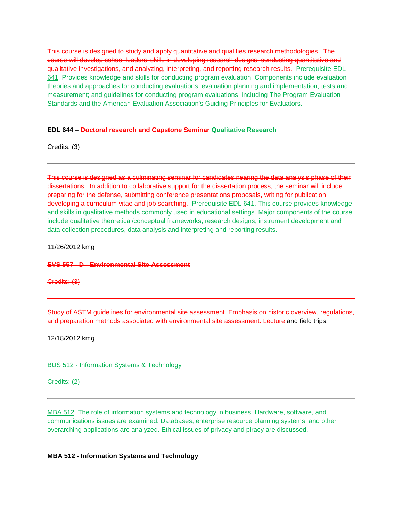This course is designed to study and apply quantitative and qualities research methodologies. The course will develop school leaders' skills in developing research designs, conducting quantitative and qualitative investigations, and analyzing, interpreting, and reporting research results. Prerequisite EDL [641.](https://uncw.acalogadmin.com/preview/preview_course.php?courseoid=17481&catoid=10&preview#tt8926) Provides knowledge and skills for conducting program evaluation. Components include evaluation theories and approaches for conducting evaluations; evaluation planning and implementation; tests and measurement; and guidelines for conducting program evaluations, including The Program Evaluation Standards and the American Evaluation Association's Guiding Principles for Evaluators.

#### **EDL 644 – Doctoral research and Capstone Seminar Qualitative Research**

Credits: (3)

This course is designed as a culminating seminar for candidates nearing the data analysis phase of their dissertations. In addition to collaborative support for the dissertation process, the seminar will include preparing for the defense, submitting conference presentations proposals, writing for publication, developing a curriculum vitae and job searching. Prerequisite EDL 641. This course provides knowledge and skills in qualitative methods commonly used in educational settings. Major components of the course include qualitative theoretical/conceptual frameworks, research designs, instrument development and data collection procedures, data analysis and interpreting and reporting results.

11/26/2012 kmg

#### **EVS 557 - D - Environmental Site Assessment**

Credits: (3)

Study of ASTM guidelines for environmental site assessment. Emphasis on historic overview, regulations, and preparation methods associated with environmental site assessment. Lecture and field trips.

12/18/2012 kmg

BUS 512 - Information Systems & Technology

Credits: (2)

[MBA 512](https://uncw.acalogadmin.com/preview/preview_course.php?courseoid=29010&catoid=10&preview#tt4526) The role of information systems and technology in business. Hardware, software, and communications issues are examined. Databases, enterprise resource planning systems, and other overarching applications are analyzed. Ethical issues of privacy and piracy are discussed.

#### **MBA 512 - Information Systems and Technology**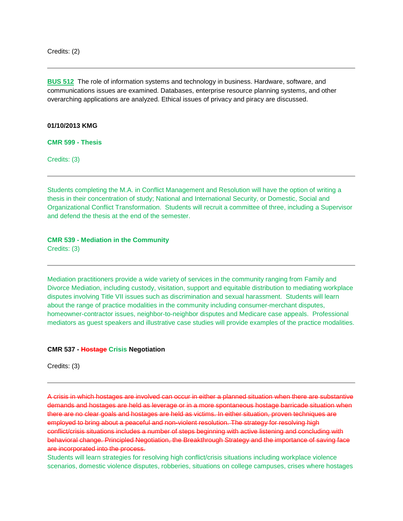**[BUS 512](https://uncw.acalogadmin.com/preview/preview_course.php?courseoid=17866&catoid=10&preview#tt2784)** The role of information systems and technology in business. Hardware, software, and communications issues are examined. Databases, enterprise resource planning systems, and other overarching applications are analyzed. Ethical issues of privacy and piracy are discussed.

#### **01/10/2013 KMG**

**CMR 599 - Thesis**

Credits: (3)

Students completing the M.A. in Conflict Management and Resolution will have the option of writing a thesis in their concentration of study; National and International Security, or Domestic, Social and Organizational Conflict Transformation. Students will recruit a committee of three, including a Supervisor and defend the thesis at the end of the semester.

#### **CMR 539 - Mediation in the Community**

Credits: (3)

Mediation practitioners provide a wide variety of services in the community ranging from Family and Divorce Mediation, including custody, visitation, support and equitable distribution to mediating workplace disputes involving Title VII issues such as discrimination and sexual harassment. Students will learn about the range of practice modalities in the community including consumer-merchant disputes, homeowner-contractor issues, neighbor-to-neighbor disputes and Medicare case appeals. Professional mediators as guest speakers and illustrative case studies will provide examples of the practice modalities.

#### **CMR 537 - Hostage Crisis Negotiation**

Credits: (3)

A crisis in which hostages are involved can occur in either a planned situation when there are substantive demands and hostages are held as leverage or in a more spontaneous hostage barricade situation when there are no clear goals and hostages are held as victims. In either situation, proven techniques are employed to bring about a peaceful and non-violent resolution. The strategy for resolving high conflict/crisis situations includes a number of steps beginning with active listening and concluding with behavioral change. Principled Negotiation, the Breakthrough Strategy and the importance of saving face are incorporated into the process.

Students will learn strategies for resolving high conflict/crisis situations including workplace violence scenarios, domestic violence disputes, robberies, situations on college campuses, crises where hostages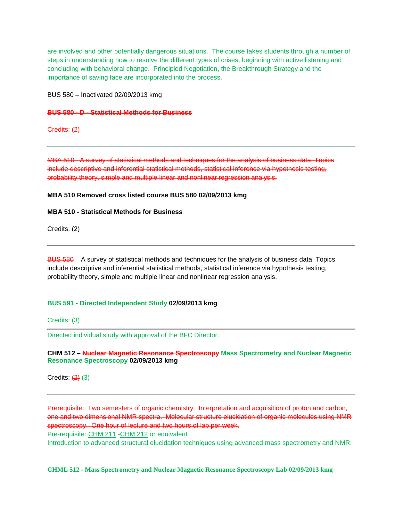are involved and other potentially dangerous situations. The course takes students through a number of steps in understanding how to resolve the different types of crises, beginning with active listening and concluding with behavioral change. Principled Negotiation, the Breakthrough Strategy and the importance of saving face are incorporated into the process.

BUS 580 – Inactivated 02/09/2013 kmg

#### **BUS 580 - D - Statistical Methods for Business**

Credits: (2)

[MBA 510](https://uncw.acalogadmin.com/preview/preview_course.php?courseoid=28985&catoid=10&preview#tt4761) A survey of statistical methods and techniques for the analysis of business data. Topics include descriptive and inferential statistical methods, statistical inference via hypothesis testing, probability theory, simple and multiple linear and nonlinear regression analysis.

#### **MBA 510 Removed cross listed course BUS 580 02/09/2013 kmg**

#### **MBA 510 - Statistical Methods for Business**

Credits: (2)

BUS 580 A survey of statistical methods and techniques for the analysis of business data. Topics include descriptive and inferential statistical methods, statistical inference via hypothesis testing, probability theory, simple and multiple linear and nonlinear regression analysis.

#### **BUS 591 - Directed Independent Study 02/09/2013 kmg**

Credits: (3)

Directed individual study with approval of the BFC Director.

#### **CHM 512 – Nuclear Magnetic Resonance Spectroscopy Mass Spectrometry and Nuclear Magnetic Resonance Spectroscopy 02/09/2013 kmg**

Credits:  $(2)$  (3)

Prerequisite: Two semesters of organic chemistry. Interpretation and acquisition of proton and carbon, one and two dimensional NMR spectra. Molecular structure elucidation of organic molecules using NMR spectroscopy. One hour of lecture and two hours of lab per week.

Pre-requisite: [CHM 211](https://uncw.acalogadmin.com/preview/preview_course.php?courseoid=17294&catoid=10&preview#tt7780) - CHM 212 or equivalent

Introduction to advanced structural elucidation techniques using advanced mass spectrometry and NMR.

#### **CHML 512 - Mass Spectrometry and Nuclear Magnetic Resonance Spectroscopy Lab 02/09/2013 kmg**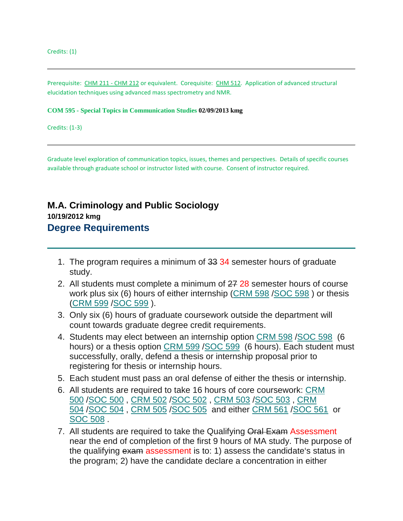Prerequisite: [CHM 211 -](https://uncw.acalogadmin.com/preview/preview_course_nopop.php?catoid=10&coid=18258) CHM 212 or equivalent. Corequisite: [CHM 512.](https://uncw.acalogadmin.com/preview/preview_course.php?courseoid=29107&catoid=10&preview#tt255) Application of advanced structural elucidation techniques using advanced mass spectrometry and NMR.

#### **COM 595 - Special Topics in Communication Studies 02/09/2013 kmg**

Credits: (1-3)

Graduate level exploration of communication topics, issues, themes and perspectives. Details of specific courses available through graduate school or instructor listed with course. Consent of instructor required.

# **M.A. Criminology and Public Sociology 10/19/2012 kmg Degree Requirements**

- 1. The program requires a minimum of 33 34 semester hours of graduate study.
- 2. All students must complete a minimum of  $2728$  semester hours of course work plus six (6) hours of either internship [\(CRM 598](https://uncw.acalogadmin.com/preview/preview_program.php?catoid=10&progoid=936&preview#tt2965) [/SOC 598](https://uncw.acalogadmin.com/preview/preview_program.php?catoid=10&progoid=936&preview#tt954) ) or thesis [\(CRM 599](https://uncw.acalogadmin.com/preview/preview_program.php?catoid=10&progoid=936&preview#tt417) [/SOC 599](https://uncw.acalogadmin.com/preview/preview_program.php?catoid=10&progoid=936&preview#tt6325) ).
- 3. Only six (6) hours of graduate coursework outside the department will count towards graduate degree credit requirements.
- 4. Students may elect between an internship option [CRM 598](https://uncw.acalogadmin.com/preview/preview_program.php?catoid=10&progoid=936&preview#tt4013) [/SOC 598](https://uncw.acalogadmin.com/preview/preview_program.php?catoid=10&progoid=936&preview#tt7754) (6 hours) or a thesis option [CRM 599](https://uncw.acalogadmin.com/preview/preview_program.php?catoid=10&progoid=936&preview#tt8175) [/SOC 599](https://uncw.acalogadmin.com/preview/preview_program.php?catoid=10&progoid=936&preview#tt7307) (6 hours). Each student must successfully, orally, defend a thesis or internship proposal prior to registering for thesis or internship hours.
- 5. Each student must pass an oral defense of either the thesis or internship.
- 6. All students are required to take 16 hours of core coursework: [CRM](https://uncw.acalogadmin.com/preview/preview_program.php?catoid=10&progoid=936&preview#tt379)  [500](https://uncw.acalogadmin.com/preview/preview_program.php?catoid=10&progoid=936&preview#tt379) [/SOC 500](https://uncw.acalogadmin.com/preview/preview_program.php?catoid=10&progoid=936&preview#tt9279) , [CRM 502](https://uncw.acalogadmin.com/preview/preview_program.php?catoid=10&progoid=936&preview#tt4344) [/SOC 502](https://uncw.acalogadmin.com/preview/preview_program.php?catoid=10&progoid=936&preview#tt3285) , [CRM 503](https://uncw.acalogadmin.com/preview/preview_program.php?catoid=10&progoid=936&preview#tt4052) [/SOC 503](https://uncw.acalogadmin.com/preview/preview_program.php?catoid=10&progoid=936&preview#tt5349) , [CRM](https://uncw.acalogadmin.com/preview/preview_program.php?catoid=10&progoid=936&preview#tt5946)  [504](https://uncw.acalogadmin.com/preview/preview_program.php?catoid=10&progoid=936&preview#tt5946) [/SOC 504](https://uncw.acalogadmin.com/preview/preview_program.php?catoid=10&progoid=936&preview#tt1725) , [CRM 505](https://uncw.acalogadmin.com/preview/preview_program.php?catoid=10&progoid=936&preview#tt6795) [/SOC 505](https://uncw.acalogadmin.com/preview/preview_program.php?catoid=10&progoid=936&preview#tt7054) and either [CRM 561](https://uncw.acalogadmin.com/preview/preview_program.php?catoid=10&progoid=936&preview#tt3490) [/SOC 561](https://uncw.acalogadmin.com/preview/preview_program.php?catoid=10&progoid=936&preview#tt1628) or [SOC 508](https://uncw.acalogadmin.com/preview/preview_program.php?catoid=10&progoid=936&preview#tt4008) .
- 7. All students are required to take the Qualifying Oral Exam Assessment near the end of completion of the first 9 hours of MA study. The purpose of the qualifying exam assessment is to: 1) assess the candidate's status in the program; 2) have the candidate declare a concentration in either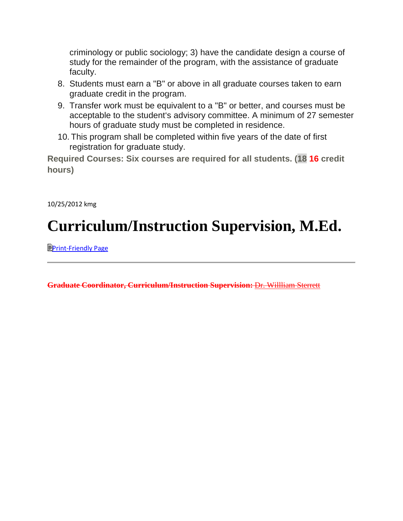criminology or public sociology; 3) have the candidate design a course of study for the remainder of the program, with the assistance of graduate faculty.

- 8. Students must earn a "B" or above in all graduate courses taken to earn graduate credit in the program.
- 9. Transfer work must be equivalent to a "B" or better, and courses must be acceptable to the student's advisory committee. A minimum of 27 semester hours of graduate study must be completed in residence.
- 10. This program shall be completed within five years of the date of first registration for graduate study.

**Required Courses: Six courses are required for all students. (18 16 credit hours)**

10/25/2012 kmg

# **Curriculum/Instruction Supervision, M.Ed.**

**E[Print-Friendly Page](https://uncw.acalogadmin.com/preview/preview_program.php?catoid=10&progoid=937&preview&print)** 

**Graduate Coordinator, Curriculum/Instruction Supervision:** [Dr. Willliam Sterrett](http://www.uncw.edu/gradschool/admissions/deadlines.html)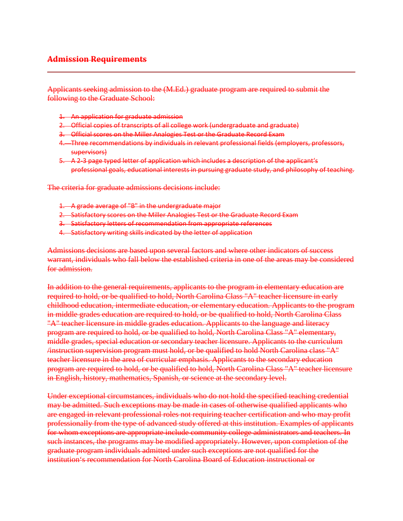#### **Admission Requirements**

Applicants seeking admission to the (M.Ed.) graduate program are required to submit the following to the Graduate School:

- 1. An application for graduate admission
- 2. Official copies of transcripts of all college work (undergraduate and graduate)
- 3. Official scores on the Miller Analogies Test or the Graduate Record Exam
- 4. Three recommendations by individuals in relevant professional fields (employers, professors, supervisors)
- 5. A 2-3 page typed letter of application which includes a description of the applicant's professional goals, educational interests in pursuing graduate study, and philosophy of teaching.

The criteria for graduate admissions decisions include:

- 1. A grade average of "B" in the undergraduate major
- 2. Satisfactory scores on the Miller Analogies Test or the Graduate Record Exam
- 3. Satisfactory letters of recommendation from appropriate references
- 4. Satisfactory writing skills indicated by the letter of application

Admissions decisions are based upon several factors and where other indicators of success warrant, individuals who fall below the established criteria in one of the areas may be considered for admission.

In addition to the general requirements, applicants to the program in elementary education are required to hold, or be qualified to hold, North Carolina Class "A" teacher licensure in early childhood education, intermediate education, or elementary education. Applicants to the program in middle grades education are required to hold, or be qualified to hold, North Carolina Class "A" teacher licensure in middle grades education. Applicants to the language and literacy program are required to hold, or be qualified to hold, North Carolina Class "A" elementary, middle grades, special education or secondary teacher licensure. Applicants to the curriculum /instruction supervision program must hold, or be qualified to hold North Carolina class "A" teacher licensure in the area of curricular emphasis. Applicants to the secondary education program are required to hold, or be qualified to hold, North Carolina Class "A" teacher licensure in English, history, mathematics, Spanish, or science at the secondary level.

Under exceptional circumstances, individuals who do not hold the specified teaching credential may be admitted. Such exceptions may be made in cases of otherwise qualified applicants who are engaged in relevant professional roles not requiring teacher certification and who may profit professionally from the type of advanced study offered at this institution. Examples of applicants for whom exceptions are appropriate include community college administrators and teachers. In such instances, the programs may be modified appropriately. However, upon completion of the graduate program individuals admitted under such exceptions are not qualified for the institution's recommendation for North Carolina Board of Education instructional or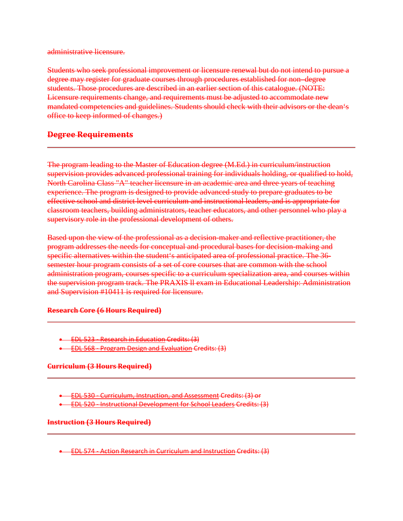administrative licensure.

Students who seek professional improvement or licensure renewal but do not intend to pursue a degree may register for graduate courses through procedures established for non–degree students. Those procedures are described in an earlier section of this catalogue. (NOTE: Licensure requirements change, and requirements must be adjusted to accommodate new mandated competencies and guidelines. Students should check with their advisors or the dean's office to keep informed of changes.)

#### **Degree Requirements**

The program leading to the Master of Education degree (M.Ed.) in curriculum/instruction supervision provides advanced professional training for individuals holding, or qualified to hold, North Carolina Class "A" teacher licensure in an academic area and three years of teaching experience. The program is designed to provide advanced study to prepare graduates to be effective school and district level curriculum and instructional leaders, and is appropriate for classroom teachers, building administrators, teacher educators, and other personnel who play a supervisory role in the professional development of others.

Based upon the view of the professional as a decision-maker and reflective practitioner, the program addresses the needs for conceptual and procedural bases for decision-making and specific alternatives within the student's anticipated area of professional practice. The 36 semester hour program consists of a set of core courses that are common with the school administration program, courses specific to a curriculum specialization area, and courses within the supervision program track. The PRAXIS ll exam in Educational Leadership: Administration and Supervision #10411 is required for licensure.

#### **Research Core (6 Hours Required)**

• EDL 523 - [Research in Education](https://uncw.acalogadmin.com/preview/preview_program.php?catoid=10&progoid=937&preview) Credits: (3)

• EDL 568 - [Program Design and Evaluation](https://uncw.acalogadmin.com/preview/preview_program.php?catoid=10&progoid=937&preview) Credits: (3)

#### **Curriculum (3 Hours Required)**

- EDL 530 [Curriculum, Instruction, and Assessment](https://uncw.acalogadmin.com/preview/preview_program.php?catoid=10&progoid=937&preview) Credits: (3) or
- EDL 520 [Instructional Development for School Leaders](https://uncw.acalogadmin.com/preview/preview_program.php?catoid=10&progoid=937&preview) Credits: (3)

#### **Instruction (3 Hours Required)**

• EDL 574 - [Action Research in Curriculum and Instruction](https://uncw.acalogadmin.com/preview/preview_program.php?catoid=10&progoid=937&preview) Credits: (3)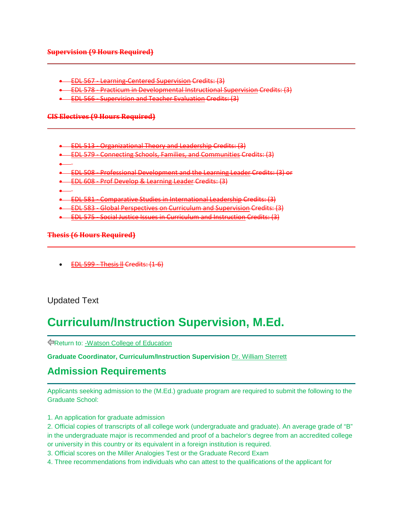#### **Supervision (9 Hours Required)**

- EDL 567 [Learning-Centered Supervision](https://uncw.acalogadmin.com/preview/preview_program.php?catoid=10&progoid=937&preview) Credits: (3)
- EDL 578 [Practicum in Developmental Instructional Supervision](https://uncw.acalogadmin.com/preview/preview_program.php?catoid=10&progoid=937&preview) Credits: (3)
- EDL 566 [Supervision and Teacher Evaluation](https://uncw.acalogadmin.com/preview/preview_program.php?catoid=10&progoid=937&preview) Credits: (3)

#### **CIS Electives (9 Hours Required)**

- EDL 513 [Organizational Theory and Leadership](https://uncw.acalogadmin.com/preview/preview_program.php?catoid=10&progoid=937&preview) Credits: (3)
- EDL 579 [Connecting Schools, Families, and Communities](https://uncw.acalogadmin.com/preview/preview_program.php?catoid=10&progoid=937&preview) Credits: (3)
- •
- EDL 508 [Professional Development and the Learning Leader](https://uncw.acalogadmin.com/preview/preview_program.php?catoid=10&progoid=937&preview) Credits: (3) or
- EDL 608 [Prof Develop & Learning](https://uncw.acalogadmin.com/preview/preview_program.php?catoid=10&progoid=937&preview) Leader Credits: (3)
- •
- EDL 581 [Comparative Studies in International Leadership](https://uncw.acalogadmin.com/preview/preview_program.php?catoid=10&progoid=937&preview) Credits: (3)
- EDL 583 [Global Perspectives on Curriculum and Supervision](https://uncw.acalogadmin.com/preview/preview_program.php?catoid=10&progoid=937&preview) Credits: (3)
- EDL 575 [Social Justice Issues in Curriculum and Instruction](https://uncw.acalogadmin.com/preview/preview_program.php?catoid=10&progoid=937&preview) Credits: (3)

#### **Thesis (6 Hours Required)**

• [EDL 599 -](https://uncw.acalogadmin.com/preview/preview_program.php?catoid=10&progoid=937&preview) Thesis ll Credits: (1-6)

# Updated Text

# **Curriculum/Instruction Supervision, M.Ed.**

Return to: [-Watson College of Education](http://catalogue.uncw.edu/content.php?catoid=10&navoid=456)

**Graduate Coordinator, Curriculum/Instruction Supervision** Dr. William Sterrett

# **Admission Requirements**

Applicants seeking admission to the (M.Ed.) graduate program are required to submit the following to the Graduate School:

- 1. An application for graduate admission
- 2. Official copies of transcripts of all college work (undergraduate and graduate). An average grade of "B" in the undergraduate major is recommended and proof of a bachelor's degree from an accredited college or university in this country or its equivalent in a foreign institution is required.
- 3. Official scores on the Miller Analogies Test or the Graduate Record Exam
- 4. Three recommendations from individuals who can attest to the qualifications of the applicant for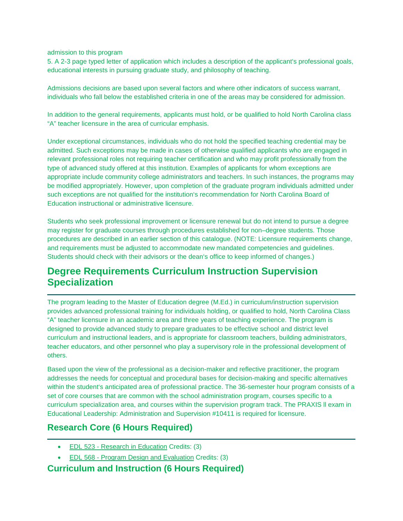admission to this program

5. A 2-3 page typed letter of application which includes a description of the applicant's professional goals, educational interests in pursuing graduate study, and philosophy of teaching.

Admissions decisions are based upon several factors and where other indicators of success warrant, individuals who fall below the established criteria in one of the areas may be considered for admission.

In addition to the general requirements, applicants must hold, or be qualified to hold North Carolina class "A" teacher licensure in the area of curricular emphasis.

Under exceptional circumstances, individuals who do not hold the specified teaching credential may be admitted. Such exceptions may be made in cases of otherwise qualified applicants who are engaged in relevant professional roles not requiring teacher certification and who may profit professionally from the type of advanced study offered at this institution. Examples of applicants for whom exceptions are appropriate include community college administrators and teachers. In such instances, the programs may be modified appropriately. However, upon completion of the graduate program individuals admitted under such exceptions are not qualified for the institution's recommendation for North Carolina Board of Education instructional or administrative licensure.

Students who seek professional improvement or licensure renewal but do not intend to pursue a degree may register for graduate courses through procedures established for non–degree students. Those procedures are described in an earlier section of this catalogue. (NOTE: Licensure requirements change, and requirements must be adjusted to accommodate new mandated competencies and guidelines. Students should check with their advisors or the dean's office to keep informed of changes.)

# **Degree Requirements Curriculum Instruction Supervision Specialization**

The program leading to the Master of Education degree (M.Ed.) in curriculum/instruction supervision provides advanced professional training for individuals holding, or qualified to hold, North Carolina Class "A" teacher licensure in an academic area and three years of teaching experience. The program is designed to provide advanced study to prepare graduates to be effective school and district level curriculum and instructional leaders, and is appropriate for classroom teachers, building administrators, teacher educators, and other personnel who play a supervisory role in the professional development of others.

Based upon the view of the professional as a decision-maker and reflective practitioner, the program addresses the needs for conceptual and procedural bases for decision-making and specific alternatives within the student's anticipated area of professional practice. The 36-semester hour program consists of a set of core courses that are common with the school administration program, courses specific to a curriculum specialization area, and courses within the supervision program track. The PRAXIS ll exam in Educational Leadership: Administration and Supervision #10411 is required for licensure.

# **Research Core (6 Hours Required)**

- EDL 523 [Research in Education](http://catalogue.uncw.edu/preview_program.php?catoid=10&poid=937&returnto=456) Credits: (3)
- EDL 568 [Program Design](http://catalogue.uncw.edu/preview_program.php?catoid=10&poid=937&returnto=456) and Evaluation Credits: (3)

# **Curriculum and Instruction (6 Hours Required)**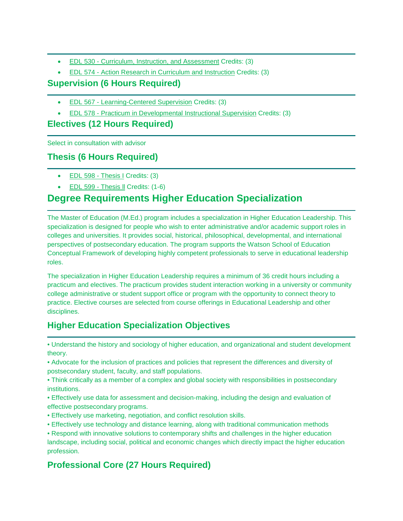- EDL 530 [Curriculum, Instruction, and Assessment](http://catalogue.uncw.edu/preview_program.php?catoid=10&poid=937&returnto=456) Credits: (3)
- EDL 574 [Action Research in Curriculum and Instruction](http://catalogue.uncw.edu/preview_program.php?catoid=10&poid=937&returnto=456) Credits: (3)

# **Supervision (6 Hours Required)**

- EDL 567 [Learning-Centered Supervision](http://catalogue.uncw.edu/preview_program.php?catoid=10&poid=937&returnto=456) Credits: (3)
- EDL 578 [Practicum in Developmental Instructional Supervision](http://catalogue.uncw.edu/preview_program.php?catoid=10&poid=937&returnto=456) Credits: (3)

# **Electives (12 Hours Required)**

Select in consultation with advisor

# **Thesis (6 Hours Required)**

- [EDL 598 -](http://catalogue.uncw.edu/preview_program.php?catoid=10&poid=937&returnto=456) Thesis I Credits: (3)
- [EDL 599 -](http://catalogue.uncw.edu/preview_program.php?catoid=10&poid=937&returnto=456) Thesis II Credits: (1-6)

# **Degree Requirements Higher Education Specialization**

The Master of Education (M.Ed.) program includes a specialization in Higher Education Leadership. This specialization is designed for people who wish to enter administrative and/or academic support roles in colleges and universities. It provides social, historical, philosophical, developmental, and international perspectives of postsecondary education. The program supports the Watson School of Education Conceptual Framework of developing highly competent professionals to serve in educational leadership roles.

The specialization in Higher Education Leadership requires a minimum of 36 credit hours including a practicum and electives. The practicum provides student interaction working in a university or community college administrative or student support office or program with the opportunity to connect theory to practice. Elective courses are selected from course offerings in Educational Leadership and other disciplines.

# **Higher Education Specialization Objectives**

• Understand the history and sociology of higher education, and organizational and student development theory.

- Advocate for the inclusion of practices and policies that represent the differences and diversity of postsecondary student, faculty, and staff populations.
- Think critically as a member of a complex and global society with responsibilities in postsecondary institutions.
- Effectively use data for assessment and decision-making, including the design and evaluation of effective postsecondary programs.
- Effectively use marketing, negotiation, and conflict resolution skills.
- Effectively use technology and distance learning, along with traditional communication methods

• Respond with innovative solutions to contemporary shifts and challenges in the higher education landscape, including social, political and economic changes which directly impact the higher education profession.

# **Professional Core (27 Hours Required)**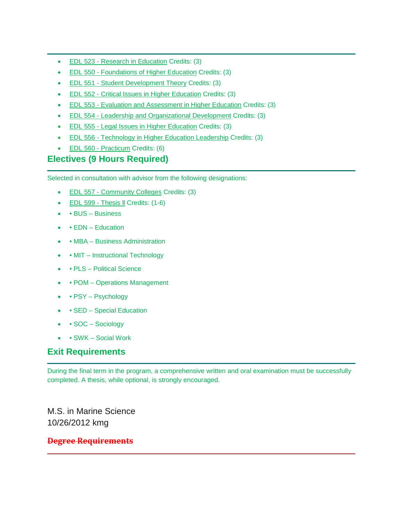- EDL 523 [Research in Education](http://catalogue.uncw.edu/preview_program.php?catoid=10&poid=937&returnto=456) Credits: (3)
- EDL 550 [Foundations of Higher Education](http://catalogue.uncw.edu/preview_program.php?catoid=10&poid=937&returnto=456) Credits: (3)
- EDL 551 [Student Development Theory](http://catalogue.uncw.edu/preview_program.php?catoid=10&poid=937&returnto=456) Credits: (3)
- EDL 552 [Critical Issues in Higher Education](http://catalogue.uncw.edu/preview_program.php?catoid=10&poid=937&returnto=456) Credits: (3)
- EDL 553 [Evaluation and Assessment in Higher Education](http://catalogue.uncw.edu/preview_program.php?catoid=10&poid=937&returnto=456) Credits: (3)
- EDL 554 [Leadership and Organizational Development](http://catalogue.uncw.edu/preview_program.php?catoid=10&poid=937&returnto=456) Credits: (3)
- EDL 555 [Legal Issues in Higher Education](http://catalogue.uncw.edu/preview_program.php?catoid=10&poid=937&returnto=456) Credits: (3)
- EDL 556 [Technology in Higher Education Leadership](http://catalogue.uncw.edu/preview_program.php?catoid=10&poid=937&returnto=456) Credits: (3)
- [EDL 560 -](http://catalogue.uncw.edu/preview_program.php?catoid=10&poid=937&returnto=456) Practicum Credits: (6)

# **Electives (9 Hours Required)**

Selected in consultation with advisor from the following designations:

- EDL 557 [Community Colleges](http://catalogue.uncw.edu/preview_program.php?catoid=10&poid=937&returnto=456) Credits: (3)
- [EDL 599 -](http://catalogue.uncw.edu/preview_program.php?catoid=10&poid=937&returnto=456) Thesis ll Credits: (1-6)
- • BUS Business
- • EDN Education
- • MBA Business Administration
- MIT Instructional Technology
- PLS Political Science
- POM Operations Management
- PSY Psychology
- **SED** Special Education
- SOC Sociology
- • SWK Social Work

# **Exit Requirements**

During the final term in the program, a comprehensive written and oral examination must be successfully completed. A thesis, while optional, is strongly encouraged.

M.S. in Marine Science 10/26/2012 kmg

# **Degree Requirements**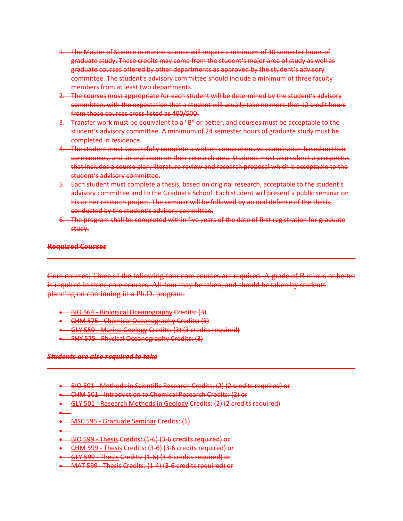- 1. The Master of Science in marine science will require a minimum of 30 semester hours of graduate study. These credits may come from the student's major area of study as well as graduate courses offered by other departments as approved by the student's advisory committee. The student's advisory committee should include a minimum of three faculty members from at least two departments.
- 2. The courses most appropriate for each student will be determined by the student's advisory committee, with the expectation that a student will usually take no more that 12 credit hours from those courses cross-listed as 400/500.
- 3. Transfer work must be equivalent to a "B" or better, and courses must be acceptable to the student's advisory committee. A minimum of 24 semester hours of graduate study must be completed in residence.
- 4. The student must successfully complete a written comprehensive examination based on their core courses, and an oral exam on their research area. Students must also submit a prospectus that includes a course plan, literature review and research proposal which is acceptable to the student's advisory committee.
- 5. Each student must complete a thesis, based on original research, acceptable to the student's advisory committee and to the Graduate School. Each student will present a public seminar on his or her research project. The seminar will be followed by an oral defense of the thesis, conducted by the student's advisory committee.
- 6. The program shall be completed within five years of the date of first registration for graduate study.

#### **Required Courses**

Core courses: Three of the following four core courses are required. A grade of B minus or better is required in three core courses. All four may be taken, and should be taken by students planning on continuing in a Ph.D. program.

- BIO 564 [Biological Oceanography](https://uncw.acalogadmin.com/preview/preview_program.php?catoid=10&progoid=956&preview) Credits: (3)
- CHM 575 [Chemical Oceanography](https://uncw.acalogadmin.com/preview/preview_program.php?catoid=10&progoid=956&preview) Credits: (3)
- GLY 550 [Marine Geology](https://uncw.acalogadmin.com/preview/preview_program.php?catoid=10&progoid=956&preview) Credits: (3) (3 credits required)
- **PHY 575 [Physical Oceanography](https://uncw.acalogadmin.com/preview/preview_program.php?catoid=10&progoid=956&preview) Credits: (3)**

#### *Students are also required to take*

- BIO 501 [Methods in Scientific Research](https://uncw.acalogadmin.com/preview/preview_program.php?catoid=10&progoid=956&preview) Credits: (2) (2 credits required) or
- CHM 501 [Introduction to Chemical Research](https://uncw.acalogadmin.com/preview/preview_program.php?catoid=10&progoid=956&preview) Credits: (2) or
- GLY 501 [Research Methods in Geology](https://uncw.acalogadmin.com/preview/preview_program.php?catoid=10&progoid=956&preview) Credits: (2) (2 credits required)
- •
- MSC 595 [Graduate Seminar](https://uncw.acalogadmin.com/preview/preview_program.php?catoid=10&progoid=956&preview) Credits: (1)
- •
- [BIO 599 -](https://uncw.acalogadmin.com/preview/preview_program.php?catoid=10&progoid=956&preview) Thesis Credits: (1-6) (3-6 credits required) or
- [CHM 599 -](https://uncw.acalogadmin.com/preview/preview_program.php?catoid=10&progoid=956&preview) Thesis Credits: (3-6) (3-6 credits required) or
- [GLY 599 -](https://uncw.acalogadmin.com/preview/preview_program.php?catoid=10&progoid=956&preview) Thesis Credits: (1-6) (3-6 credits required) or
- [MAT 599 -](https://uncw.acalogadmin.com/preview/preview_program.php?catoid=10&progoid=956&preview) Thesis Credits: (1-4) (3-6 credits required) or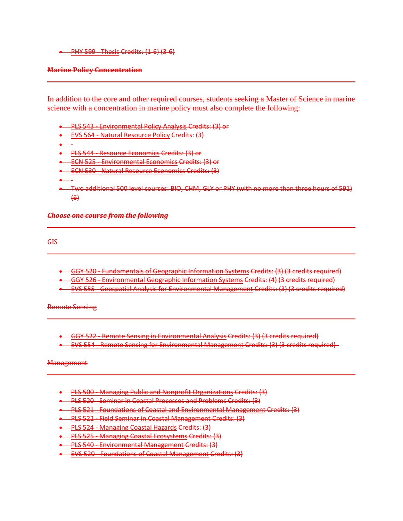• [PHY 599 -](https://uncw.acalogadmin.com/preview/preview_program.php?catoid=10&progoid=956&preview) Thesis Credits: (1-6) (3-6)

#### **Marine Policy Concentration**

In addition to the core and other required courses, students seeking a Master of Science in marine science with a concentration in marine policy must also complete the following:

- PLS 543 [Environmental Policy Analysis](https://uncw.acalogadmin.com/preview/preview_program.php?catoid=10&progoid=956&preview) Credits: (3) or
- EVS 564 [Natural Resource Policy](https://uncw.acalogadmin.com/preview/preview_program.php?catoid=10&progoid=956&preview) Credits: (3)
- •
- PLS 544 [Resource Economics](https://uncw.acalogadmin.com/preview/preview_program.php?catoid=10&progoid=956&preview) Credits: (3) or
- **ECN 525 [Environmental Economics](https://uncw.acalogadmin.com/preview/preview_program.php?catoid=10&progoid=956&preview) Credits: (3) or**
- **ECN 530 [Natural Resource Economics](https://uncw.acalogadmin.com/preview/preview_program.php?catoid=10&progoid=956&preview) Credits: (3)**
- •
- Two additional 500 level courses: BIO, CHM, GLY or PHY (with no more than three hours of 591)  $(6)$

*Choose one course from the following*

GIS

- GGY 520 [Fundamentals of Geographic Information Systems](https://uncw.acalogadmin.com/preview/preview_program.php?catoid=10&progoid=956&preview) Credits: (3) (3 credits required)
- GGY 526 [Environmental Geographic Information Systems](https://uncw.acalogadmin.com/preview/preview_program.php?catoid=10&progoid=956&preview) Credits: (4) (3 credits required)
- EVS 555 [Geospatial Analysis for Environmental Management](https://uncw.acalogadmin.com/preview/preview_program.php?catoid=10&progoid=956&preview) Credits: (3) (3 credits required)

Remote Sensing

- GGY 522 [Remote Sensing in Environmental Analysis](https://uncw.acalogadmin.com/preview/preview_program.php?catoid=10&progoid=956&preview) Credits: (3) (3 credits required)
- EVS 554 [Remote Sensing for Environmental Management](https://uncw.acalogadmin.com/preview/preview_program.php?catoid=10&progoid=956&preview) Credits: (3) (3 credits required)

**Management** 

- PLS 500 [Managing Public and Nonprofit Organizations](https://uncw.acalogadmin.com/preview/preview_program.php?catoid=10&progoid=956&preview) Credits: (3)
- PLS 520 [Seminar in Coastal Processes and Problems](https://uncw.acalogadmin.com/preview/preview_program.php?catoid=10&progoid=956&preview) Credits: (3)
- PLS 521 [Foundations of Coastal and Environmental Management](https://uncw.acalogadmin.com/preview/preview_program.php?catoid=10&progoid=956&preview) Credits: (3)
- PLS 522 [Field Seminar in Coastal Management](https://uncw.acalogadmin.com/preview/preview_program.php?catoid=10&progoid=956&preview) Credits: (3)
- PLS 524 [Managing Coastal Hazards](https://uncw.acalogadmin.com/preview/preview_program.php?catoid=10&progoid=956&preview) Credits: (3)
- PLS 525 [Managing Coastal Ecosystems](https://uncw.acalogadmin.com/preview/preview_program.php?catoid=10&progoid=956&preview) Credits: (3)
- **•** PLS 540 [Environmental Management](https://uncw.acalogadmin.com/preview/preview_program.php?catoid=10&progoid=956&preview) Credits: (3)
- EVS 520 [Foundations of Coastal Management](https://uncw.acalogadmin.com/preview/preview_program.php?catoid=10&progoid=956&preview) Credits: (3)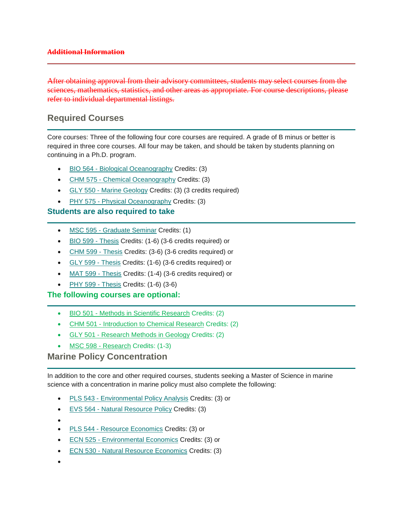#### **Additional Information**

After obtaining approval from their advisory committees, students may select courses from the sciences, mathematics, statistics, and other areas as appropriate. For course descriptions, please refer to individual departmental listings.

# **Required Courses**

Core courses: Three of the following four core courses are required. A grade of B minus or better is required in three core courses. All four may be taken, and should be taken by students planning on continuing in a Ph.D. program.

- BIO 564 [Biological Oceanography](http://catalogue.uncw.edu/preview_program.php?catoid=10&poid=956&returnto=454) Credits: (3)
- CHM 575 [Chemical Oceanography](http://catalogue.uncw.edu/preview_program.php?catoid=10&poid=956&returnto=454) Credits: (3)
- GLY 550 [Marine Geology](http://catalogue.uncw.edu/preview_program.php?catoid=10&poid=956&returnto=454) Credits: (3) (3 credits required)
- PHY 575 [Physical Oceanography](http://catalogue.uncw.edu/preview_program.php?catoid=10&poid=956&returnto=454) Credits: (3)

#### **Students are also required to take**

- MSC 595 [Graduate Seminar](http://catalogue.uncw.edu/preview_program.php?catoid=10&poid=956&returnto=454) Credits: (1)
- [BIO 599 -](http://catalogue.uncw.edu/preview_program.php?catoid=10&poid=956&returnto=454) Thesis Credits: (1-6) (3-6 credits required) or
- [CHM 599 -](http://catalogue.uncw.edu/preview_program.php?catoid=10&poid=956&returnto=454) Thesis Credits: (3-6) (3-6 credits required) or
- [GLY 599 -](http://catalogue.uncw.edu/preview_program.php?catoid=10&poid=956&returnto=454) Thesis Credits: (1-6) (3-6 credits required) or
- [MAT 599 -](http://catalogue.uncw.edu/preview_program.php?catoid=10&poid=956&returnto=454) Thesis Credits: (1-4) (3-6 credits required) or
- [PHY 599 -](http://catalogue.uncw.edu/preview_program.php?catoid=10&poid=956&returnto=454) Thesis Credits: (1-6) (3-6)

#### **The following courses are optional:**

- BIO 501 [Methods in Scientific Research](http://catalogue.uncw.edu/preview_program.php?catoid=10&poid=956&returnto=454) Credits: (2)
- CHM 501 [Introduction to Chemical Research](http://catalogue.uncw.edu/preview_program.php?catoid=10&poid=956&returnto=454) Credits: (2)
- GLY 501 [Research Methods in Geology](http://catalogue.uncw.edu/preview_program.php?catoid=10&poid=956&returnto=454) Credits: (2)
- [MSC 598 -](http://catalogue.uncw.edu/preview_program.php?catoid=10&poid=956&returnto=454) Research Credits: (1-3)

#### **Marine Policy Concentration**

In addition to the core and other required courses, students seeking a Master of Science in marine science with a concentration in marine policy must also complete the following:

- PLS 543 [Environmental Policy Analysis](http://catalogue.uncw.edu/preview_program.php?catoid=10&poid=956&returnto=454) Credits: (3) or
- EVS 564 [Natural Resource Policy](http://catalogue.uncw.edu/preview_program.php?catoid=10&poid=956&returnto=454) Credits: (3)
- •
- PLS 544 [Resource Economics](http://catalogue.uncw.edu/preview_program.php?catoid=10&poid=956&returnto=454) Credits: (3) or
- ECN 525 [Environmental Economics](http://catalogue.uncw.edu/preview_program.php?catoid=10&poid=956&returnto=454) Credits: (3) or
- ECN 530 [Natural Resource Economics](http://catalogue.uncw.edu/preview_program.php?catoid=10&poid=956&returnto=454) Credits: (3)
- •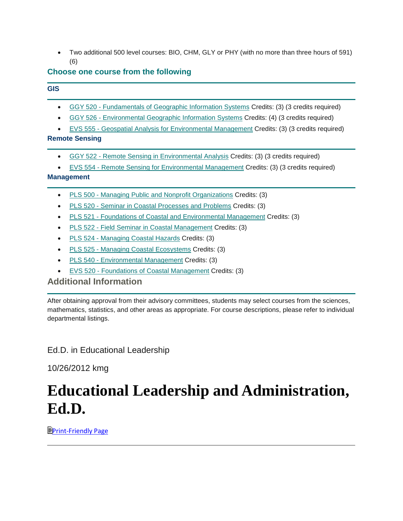• Two additional 500 level courses: BIO, CHM, GLY or PHY (with no more than three hours of 591) (6)

# **Choose one course from the following**

#### **GIS**

- GGY 520 [Fundamentals of Geographic Information Systems](http://catalogue.uncw.edu/preview_program.php?catoid=10&poid=956&returnto=454) Credits: (3) (3 credits required)
- GGY 526 [Environmental Geographic Information Systems](http://catalogue.uncw.edu/preview_program.php?catoid=10&poid=956&returnto=454) Credits: (4) (3 credits required)
- EVS 555 [Geospatial Analysis for Environmental Management](http://catalogue.uncw.edu/preview_program.php?catoid=10&poid=956&returnto=454) Credits: (3) (3 credits required)

#### **Remote Sensing**

- GGY 522 [Remote Sensing in Environmental Analysis](http://catalogue.uncw.edu/preview_program.php?catoid=10&poid=956&returnto=454) Credits: (3) (3 credits required)
- EVS 554 [Remote Sensing for Environmental Management](http://catalogue.uncw.edu/preview_program.php?catoid=10&poid=956&returnto=454) Credits: (3) (3 credits required)

#### **Management**

- PLS 500 [Managing Public and Nonprofit Organizations](http://catalogue.uncw.edu/preview_program.php?catoid=10&poid=956&returnto=454) Credits: (3)
- PLS 520 [Seminar in Coastal Processes and Problems](http://catalogue.uncw.edu/preview_program.php?catoid=10&poid=956&returnto=454) Credits: (3)
- PLS 521 [Foundations of Coastal and Environmental Management](http://catalogue.uncw.edu/preview_program.php?catoid=10&poid=956&returnto=454) Credits: (3)
- PLS 522 [Field Seminar in Coastal Management](http://catalogue.uncw.edu/preview_program.php?catoid=10&poid=956&returnto=454) Credits: (3)
- PLS 524 [Managing Coastal Hazards](http://catalogue.uncw.edu/preview_program.php?catoid=10&poid=956&returnto=454) Credits: (3)
- PLS 525 [Managing Coastal Ecosystems](http://catalogue.uncw.edu/preview_program.php?catoid=10&poid=956&returnto=454) Credits: (3)
- PLS 540 [Environmental Management](http://catalogue.uncw.edu/preview_program.php?catoid=10&poid=956&returnto=454) Credits: (3)
- EVS 520 [Foundations of Coastal Management](http://catalogue.uncw.edu/preview_program.php?catoid=10&poid=956&returnto=454) Credits: (3)

# **Additional Information**

After obtaining approval from their advisory committees, students may select courses from the sciences, mathematics, statistics, and other areas as appropriate. For course descriptions, please refer to individual departmental listings.

# Ed.D. in Educational Leadership

10/26/2012 kmg

# **Educational Leadership and Administration, Ed.D.**

**[Print-Friendly Page](https://uncw.acalogadmin.com/preview/preview_program.php?catoid=10&progoid=938&preview&print)**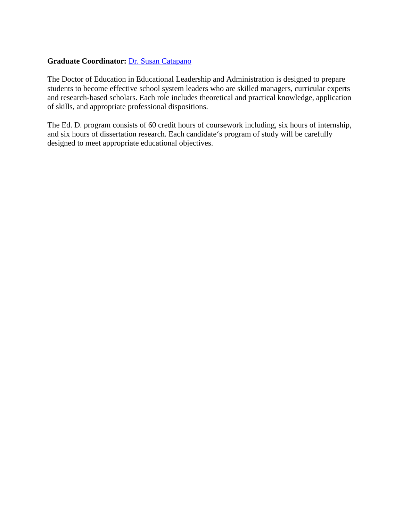#### **Graduate Coordinator:** [Dr. Susan Catapano](http://www.uncw.edu/gradschool/admissions/deadlines.html)

The Doctor of Education in Educational Leadership and Administration is designed to prepare students to become effective school system leaders who are skilled managers, curricular experts and research-based scholars. Each role includes theoretical and practical knowledge, application of skills, and appropriate professional dispositions.

The Ed. D. program consists of 60 credit hours of coursework including, six hours of internship, and six hours of dissertation research. Each candidate's program of study will be carefully designed to meet appropriate educational objectives.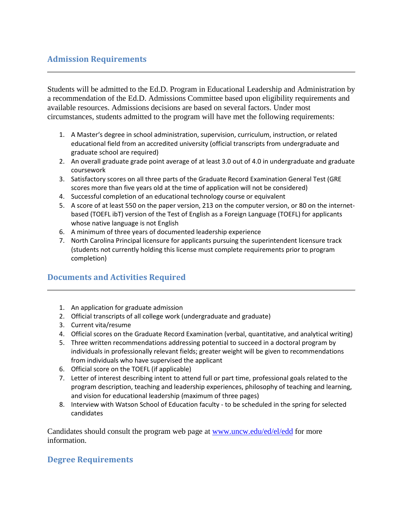# **Admission Requirements**

Students will be admitted to the Ed.D. Program in Educational Leadership and Administration by a recommendation of the Ed.D. Admissions Committee based upon eligibility requirements and available resources. Admissions decisions are based on several factors. Under most circumstances, students admitted to the program will have met the following requirements:

- 1. A Master's degree in school administration, supervision, curriculum, instruction, or related educational field from an accredited university (official transcripts from undergraduate and graduate school are required)
- 2. An overall graduate grade point average of at least 3.0 out of 4.0 in undergraduate and graduate coursework
- 3. Satisfactory scores on all three parts of the Graduate Record Examination General Test (GRE scores more than five years old at the time of application will not be considered)
- 4. Successful completion of an educational technology course or equivalent
- 5. A score of at least 550 on the paper version, 213 on the computer version, or 80 on the internetbased (TOEFL ibT) version of the Test of English as a Foreign Language (TOEFL) for applicants whose native language is not English
- 6. A minimum of three years of documented leadership experience
- 7. North Carolina Principal licensure for applicants pursuing the superintendent licensure track (students not currently holding this license must complete requirements prior to program completion)

# **Documents and Activities Required**

- 1. An application for graduate admission
- 2. Official transcripts of all college work (undergraduate and graduate)
- 3. Current vita/resume
- 4. Official scores on the Graduate Record Examination (verbal, quantitative, and analytical writing)
- 5. Three written recommendations addressing potential to succeed in a doctoral program by individuals in professionally relevant fields; greater weight will be given to recommendations from individuals who have supervised the applicant
- 6. Official score on the TOEFL (if applicable)
- 7. Letter of interest describing intent to attend full or part time, professional goals related to the program description, teaching and leadership experiences, philosophy of teaching and learning, and vision for educational leadership (maximum of three pages)
- 8. Interview with Watson School of Education faculty to be scheduled in the spring for selected candidates

Candidates should consult the program web page at [www.uncw.edu/ed/el/edd](http://www.uncw.edu/ed/el/edd) for more information.

# **Degree Requirements**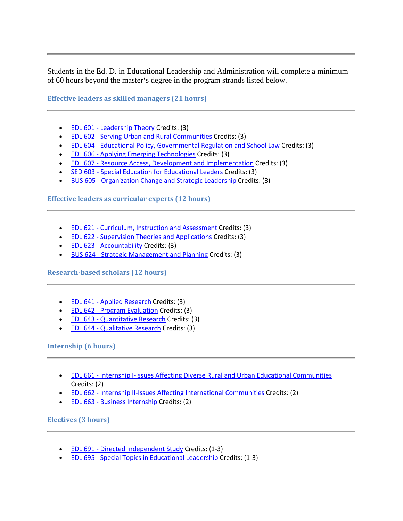Students in the Ed. D. in Educational Leadership and Administration will complete a minimum of 60 hours beyond the master's degree in the program strands listed below.

**Effective leaders as skilled managers (21 hours)**

- EDL 601 [Leadership Theory](https://uncw.acalogadmin.com/preview/preview_program.php?catoid=10&progoid=938&preview) Credits: (3)
- EDL 602 [Serving Urban and Rural Communities](https://uncw.acalogadmin.com/preview/preview_program.php?catoid=10&progoid=938&preview) Credits: (3)
- EDL 604 [Educational Policy, Governmental Regulation and School Law](https://uncw.acalogadmin.com/preview/preview_program.php?catoid=10&progoid=938&preview) Credits: (3)
- EDL 606 [Applying Emerging Technologies](https://uncw.acalogadmin.com/preview/preview_program.php?catoid=10&progoid=938&preview) Credits: (3)
- EDL 607 [Resource Access, Development and Implementation](https://uncw.acalogadmin.com/preview/preview_program.php?catoid=10&progoid=938&preview) Credits: (3)
- SED 603 [Special Education for Educational Leaders](https://uncw.acalogadmin.com/preview/preview_program.php?catoid=10&progoid=938&preview) Credits: (3)
- BUS 605 [Organization Change and Strategic Leadership](https://uncw.acalogadmin.com/preview/preview_program.php?catoid=10&progoid=938&preview) Credits: (3)

**Effective leaders as curricular experts (12 hours)**

- EDL 621 [Curriculum, Instruction and Assessment](https://uncw.acalogadmin.com/preview/preview_program.php?catoid=10&progoid=938&preview) Credits: (3)
- EDL 622 [Supervision Theories and Applications](https://uncw.acalogadmin.com/preview/preview_program.php?catoid=10&progoid=938&preview) Credits: (3)
- EDL 623 [Accountability](https://uncw.acalogadmin.com/preview/preview_program.php?catoid=10&progoid=938&preview) Credits: (3)
- BUS 624 [Strategic Management and Planning](https://uncw.acalogadmin.com/preview/preview_program.php?catoid=10&progoid=938&preview) Credits: (3)

**Research-based scholars (12 hours)**

- EDL 641 [Applied Research](https://uncw.acalogadmin.com/preview/preview_program.php?catoid=10&progoid=938&preview) Credits: (3)
- EDL 642 [Program Evaluation](https://uncw.acalogadmin.com/preview/preview_program.php?catoid=10&progoid=938&preview) Credits: (3)
- EDL 643 [Quantitative Research](https://uncw.acalogadmin.com/preview/preview_program.php?catoid=10&progoid=938&preview) Credits: (3)
- EDL 644 [Qualitative Research](https://uncw.acalogadmin.com/preview/preview_program.php?catoid=10&progoid=938&preview) Credits: (3)

#### **Internship (6 hours)**

- EDL 661 [Internship I-Issues Affecting Diverse Rural and Urban Educational Communities](https://uncw.acalogadmin.com/preview/preview_program.php?catoid=10&progoid=938&preview) Credits: (2)
- EDL 662 [Internship II-Issues Affecting International Communities](https://uncw.acalogadmin.com/preview/preview_program.php?catoid=10&progoid=938&preview) Credits: (2)
- EDL 663 [Business Internship](https://uncw.acalogadmin.com/preview/preview_program.php?catoid=10&progoid=938&preview) Credits: (2)

#### **Electives (3 hours)**

- EDL 691 [Directed Independent Study](https://uncw.acalogadmin.com/preview/preview_program.php?catoid=10&progoid=938&preview) Credits: (1-3)
- EDL 695 [Special Topics in Educational Leadership](https://uncw.acalogadmin.com/preview/preview_program.php?catoid=10&progoid=938&preview) Credits: (1-3)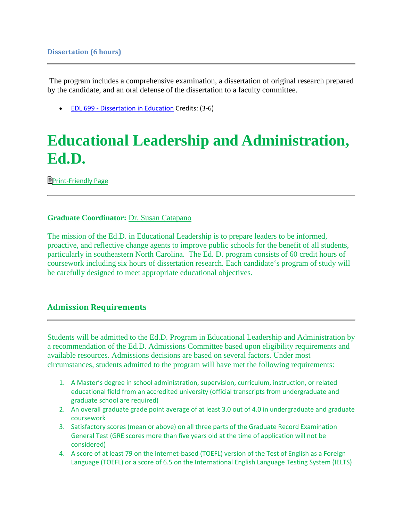The program includes a comprehensive examination, a dissertation of original research prepared by the candidate, and an oral defense of the dissertation to a faculty committee.

• EDL 699 - [Dissertation in Education](https://uncw.acalogadmin.com/preview/preview_program.php?catoid=10&progoid=938&preview) Credits: (3-6)

# **Educational Leadership and Administration, Ed.D.**

**[Print-Friendly Page](https://uncw.acalogadmin.com/preview/preview_program.php?catoid=10&progoid=938&preview&print)** 

#### **Graduate Coordinator:** [Dr. Susan Catapano](http://www.uncw.edu/gradschool/admissions/deadlines.html)

The mission of the Ed.D. in Educational Leadership is to prepare leaders to be informed, proactive, and reflective change agents to improve public schools for the benefit of all students, particularly in southeastern North Carolina. The Ed. D. program consists of 60 credit hours of coursework including six hours of dissertation research. Each candidate's program of study will be carefully designed to meet appropriate educational objectives.

#### **Admission Requirements**

Students will be admitted to the Ed.D. Program in Educational Leadership and Administration by a recommendation of the Ed.D. Admissions Committee based upon eligibility requirements and available resources. Admissions decisions are based on several factors. Under most circumstances, students admitted to the program will have met the following requirements:

- 1. A Master's degree in school administration, supervision, curriculum, instruction, or related educational field from an accredited university (official transcripts from undergraduate and graduate school are required)
- 2. An overall graduate grade point average of at least 3.0 out of 4.0 in undergraduate and graduate coursework
- 3. Satisfactory scores (mean or above) on all three parts of the Graduate Record Examination General Test (GRE scores more than five years old at the time of application will not be considered)
- 4. A score of at least 79 on the internet-based (TOEFL) version of the Test of English as a Foreign Language (TOEFL) or a score of 6.5 on the International English Language Testing System (IELTS)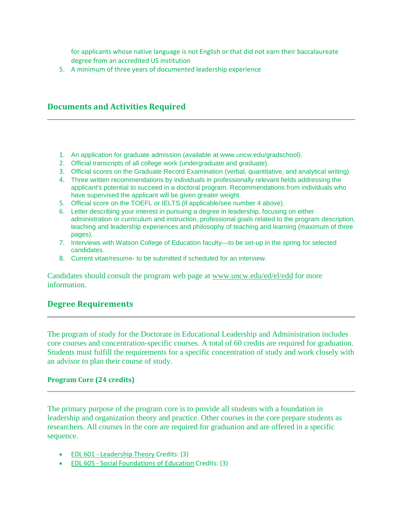for applicants whose native language is not English or that did not earn their baccalaureate degree from an accredited US institution

5. A minimum of three years of documented leadership experience

#### **Documents and Activities Required**

- 1. An application for graduate admission (available at www.uncw.edu/gradschool).
- 2. Official transcripts of all college work (undergraduate and graduate).
- 3. Official scores on the Graduate Record Examination (verbal, quantitative, and analytical writing).
- 4. Three written recommendations by individuals in professionally relevant fields addressing the applicant's potential to succeed in a doctoral program. Recommendations from individuals who have supervised the applicant will be given greater weight.
- 5. Official score on the TOEFL or IELTS (if applicable/see number 4 above).
- 6. Letter describing your interest in pursuing a degree in leadership, focusing on either administration or curriculum and instruction, professional goals related to the program description, teaching and leadership experiences and philosophy of teaching and learning (maximum of three pages).
- 7. Interviews with Watson College of Education faculty—to be set-up in the spring for selected candidates.
- 8. Current vitae/resume- to be submitted if scheduled for an interview.

Candidates should consult the program web page at [www.uncw.edu/ed/el/edd](http://www.uncw.edu/ed/el/edd) for more information.

#### **Degree Requirements**

The program of study for the Doctorate in Educational Leadership and Administration includes core courses and concentration-specific courses. A total of 60 credits are required for graduation. Students must fulfill the requirements for a specific concentration of study and work closely with an advisor to plan their course of study.

#### **Program Core (24 credits)**

The primary purpose of the program core is to provide all students with a foundation in leadership and organization theory and practice. Other courses in the core prepare students as researchers. All courses in the core are required for graduation and are offered in a specific sequence.

- EDL 601 [Leadership Theory](https://uncw.acalogadmin.com/preview/preview_program.php?catoid=10&progoid=938&preview) Credits: (3)
- EDL 605 [Social Foundations of Education](https://uncw.acalogadmin.com/preview/preview_program.php?catoid=10&progoid=938&preview) Credits: (3)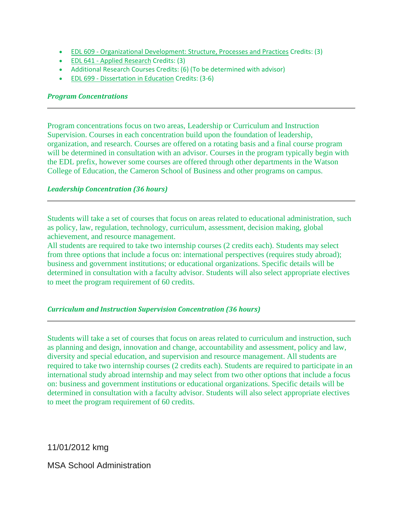- EDL 609 [Organizational Development: Structure, Processes and Practices](https://uncw.acalogadmin.com/preview/preview_program.php?catoid=10&progoid=938&preview) Credits: (3)
- EDL 641 [Applied Research](https://uncw.acalogadmin.com/preview/preview_program.php?catoid=10&progoid=938&preview) Credits: (3)
- Additional Research Courses Credits: (6) (To be determined with advisor)
- EDL 699 [Dissertation in Education](https://uncw.acalogadmin.com/preview/preview_program.php?catoid=10&progoid=938&preview) Credits: (3-6)

#### *Program Concentrations*

Program concentrations focus on two areas, Leadership or Curriculum and Instruction Supervision. Courses in each concentration build upon the foundation of leadership, organization, and research. Courses are offered on a rotating basis and a final course program will be determined in consultation with an advisor. Courses in the program typically begin with the EDL prefix, however some courses are offered through other departments in the Watson College of Education, the Cameron School of Business and other programs on campus.

#### *Leadership Concentration (36 hours)*

Students will take a set of courses that focus on areas related to educational administration, such as policy, law, regulation, technology, curriculum, assessment, decision making, global achievement, and resource management.

All students are required to take two internship courses (2 credits each). Students may select from three options that include a focus on: international perspectives (requires study abroad); business and government institutions; or educational organizations. Specific details will be determined in consultation with a faculty advisor. Students will also select appropriate electives to meet the program requirement of 60 credits.

#### *Curriculum and Instruction Supervision Concentration (36 hours)*

Students will take a set of courses that focus on areas related to curriculum and instruction, such as planning and design, innovation and change, accountability and assessment, policy and law, diversity and special education, and supervision and resource management. All students are required to take two internship courses (2 credits each). Students are required to participate in an international study abroad internship and may select from two other options that include a focus on: business and government institutions or educational organizations. Specific details will be determined in consultation with a faculty advisor. Students will also select appropriate electives to meet the program requirement of 60 credits.

11/01/2012 kmg

#### MSA School Administration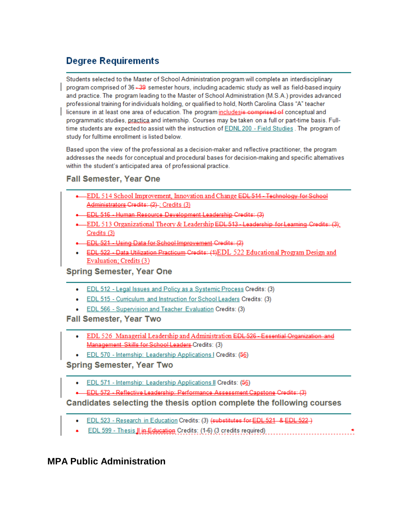# **Degree Requirements**

Students selected to the Master of School Administration program will complete an interdisciplinary program comprised of 36 -39 semester hours, including academic study as well as field-based inquiry and practice. The program leading to the Master of School Administration (M.S.A.) provides advanced professional training for individuals holding, or qualified to hold, North Carolina Class "A" teacher licensure in at least one area of education. The program includesis comprised of conceptual and programmatic studies, practica and internship. Courses may be taken on a full or part-time basis. Fulltime students are expected to assist with the instruction of EDNL 200 - Field Studies . The program of study for fulltime enrollment is listed below.

Based upon the view of the professional as a decision-maker and reflective practitioner, the program addresses the needs for conceptual and procedural bases for decision-making and specific alternatives within the student's anticipated area of professional practice.

# **Fall Semester, Year One**

- DEL 514 School Improvement, Innovation and Change EDL 514 Technology for School Administrators Credits: (2) -; Credits (3)
- EDL 516 Human Resource Development Leadership Credits: (3)
- EDL 513 Organizational Theory & Leadership EDL 513 Leadership for Learning Credits: (3); Credits (3)
- EDL 521 Using Data for School Improvement Credits: (2)
- EDL 522 Data Utilization Practicum Credits: (4)EDL 522 Educational Program Design and Evaluation; Credits (3)

**Spring Semester, Year One** 

- EDL 512 Legal Issues and Policy as a Systemic Process Credits: (3)
- **EDL 515 Curriculum and Instruction for School Leaders Credits: (3)**
- EDL 566 Supervision and Teacher Evaluation Credits: (3)

**Fall Semester, Year Two** 

- EDL 526 Managerial Leadership and Administration EDL 526 Essential Organization and Management Skills for School Leaders-Credits: (3)
- EDL 570 Internship: Leadership Applications | Credits: (56)

**Spring Semester, Year Two** 

- EDL 571 Internship: Leadership Applications II Credits: (56)
- EDL 572 Reflective Leadership: Performance Assessment Capstone Credits: (3)

Candidates selecting the thesis option complete the following courses

- EDL 523 Research in Education Credits: (3) (substitutes for EDL 521 & EDL 522 )
- EDL 599 Thesis II in Education Credits: (1-6) (3 credits required) \_\_\_\_\_\_\_\_\_\_\_\_\_\_\_\_\_

# **MPA Public Administration**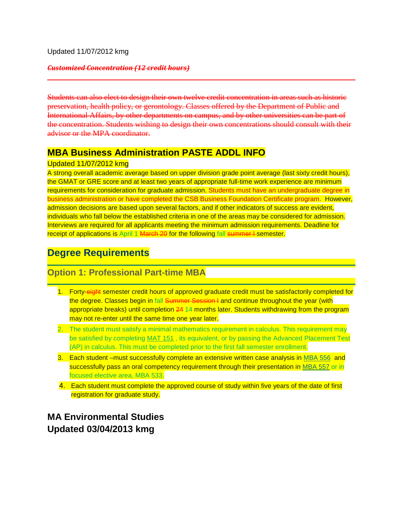Updated 11/07/2012 kmg

#### *Customized Concentration (12 credit hours)*

Students can also elect to design their own twelve credit concentration in areas such as historic preservation, health policy, or gerontology. Classes offered by the Department of Public and International Affairs, by other departments on campus, and by other universities can be part of the concentration. Students wishing to design their own concentrations should consult with their advisor or the MPA coordinator.

# **MBA Business Administration PASTE ADDL INFO**

#### Updated 11/07/2012 kmg

A strong overall academic average based on upper division grade point average (last sixty credit hours), the GMAT or GRE score and at least two years of appropriate full-time work experience are minimum requirements for consideration for graduate admission. Students must have an undergraduate degree in business administration or have completed the CSB Business Foundation Certificate program. However, admission decisions are based upon several factors, and if other indicators of success are evident, individuals who fall below the established criteria in one of the areas may be considered for admission. Interviews are required for all applicants meeting the minimum admission requirements. Deadline for receipt of applications is April 1 March 20 for the following fall summer I semester.

# **Degree Requirements**

# **Option 1: Professional Part-time MBA**

- 1. Forty-eight semester credit hours of approved graduate credit must be satisfactorily completed for the degree. Classes begin in fall Summer Session I and continue throughout the year (with appropriate breaks) until completion 24 14 months later. Students withdrawing from the program may not re-enter until the same time one year later.
- 2. The student must satisfy a minimal mathematics requirement in calculus. This requirement may be satisfied by completing [MAT 151](http://catalogue.uncw.edu/preview_program.php?catoid=4&poid=315&returnto=153#tt9963) , its equivalent, or by passing the Advanced Placement Test (AP) in calculus. This must be completed prior to the first fall semester enrollment.
- 3. Each student –must successfully complete an extensive written case analysis in [MBA 556](http://catalogue.uncw.edu/preview_program.php?catoid=4&poid=315&returnto=153#tt7466) and successfully pass an oral competency requirement through their presentation in [MBA 557](http://catalogue.uncw.edu/preview_program.php?catoid=4&poid=315&returnto=153#tt1897) or in focused elective area, MBA 533.
- 4. Each student must complete the approved course of study within five years of the date of first registration for graduate study.

**MA Environmental Studies Updated 03/04/2013 kmg**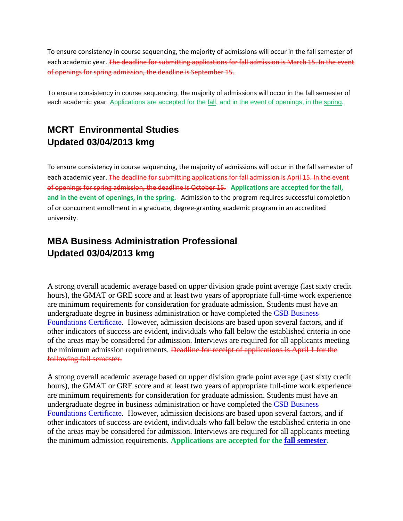To ensure consistency in course sequencing, the majority of admissions will occur in the fall semester of each academic year. The deadline for submitting applications for fall admission is March 15. In the event of openings for spring admission, the deadline is September 15.

To ensure consistency in course sequencing, the majority of admissions will occur in the fall semester of each academic year. Applications are accepted for the [fall,](http://www.uncw.edu/gradschool/admissions/deadlines.html) and in the event of openings, in the [spring.](http://www.uncw.edu/gradschool/admissions/deadlines.html)

# **MCRT Environmental Studies Updated 03/04/2013 kmg**

To ensure consistency in course sequencing, the majority of admissions will occur in the fall semester of each academic year. The deadline for submitting applications for fall admission is April 15. In the event of openings for spring admission, the deadline is October 15. **Applications are accepted for th[e fall,](http://www.uncw.edu/gradschool/admissions/deadlines.html) and in the event of openings, in th[e spring.](http://www.uncw.edu/gradschool/admissions/deadlines.html)** Admission to the program requires successful completion of or concurrent enrollment in a graduate, degree-granting academic program in an accredited university.

# **MBA Business Administration Professional Updated 03/04/2013 kmg**

A strong overall academic average based on upper division grade point average (last sixty credit hours), the GMAT or GRE score and at least two years of appropriate full-time work experience are minimum requirements for consideration for graduate admission. Students must have an undergraduate degree in business administration or have completed the [CSB Business](http://csb.uncw.edu/buscert/)  [Foundations Certificate.](http://csb.uncw.edu/buscert/) However, admission decisions are based upon several factors, and if other indicators of success are evident, individuals who fall below the established criteria in one of the areas may be considered for admission. Interviews are required for all applicants meeting the minimum admission requirements. Deadline for receipt of applications is April 1 for the following fall semester.

A strong overall academic average based on upper division grade point average (last sixty credit hours), the GMAT or GRE score and at least two years of appropriate full-time work experience are minimum requirements for consideration for graduate admission. Students must have an undergraduate degree in business administration or have completed the [CSB Business](http://csb.uncw.edu/buscert/)  [Foundations Certificate.](http://csb.uncw.edu/buscert/) However, admission decisions are based upon several factors, and if other indicators of success are evident, individuals who fall below the established criteria in one of the areas may be considered for admission. Interviews are required for all applicants meeting the minimum admission requirements. **Applications are accepted for the [fall semester.](http://www.uncw.edu/gradschool/admissions/deadlines.html)**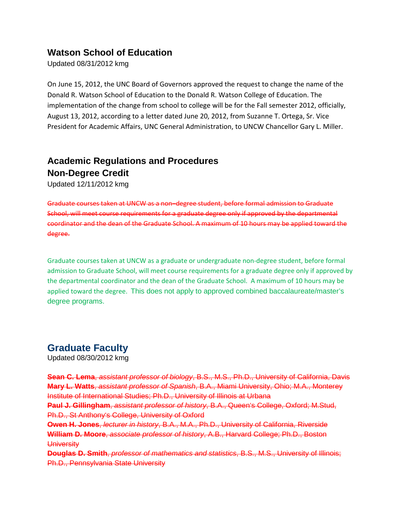# **Watson School of Education**

Updated 08/31/2012 kmg

On June 15, 2012, the UNC Board of Governors approved the request to change the name of the Donald R. Watson School of Education to the Donald R. Watson College of Education. The implementation of the change from school to college will be for the Fall semester 2012, officially, August 13, 2012, according to a letter dated June 20, 2012, from Suzanne T. Ortega, Sr. Vice President for Academic Affairs, UNC General Administration, to UNCW Chancellor Gary L. Miller.

# **Academic Regulations and Procedures Non-Degree Credit**

Updated 12/11/2012 kmg

Graduate courses taken at UNCW as a non–degree student, before formal admission to Graduate School, will meet course requirements for a graduate degree only if approved by the departmental coordinator and the dean of the Graduate School. A maximum of 10 hours may be applied toward the degree.

Graduate courses taken at UNCW as a graduate or undergraduate non-degree student, before formal admission to Graduate School, will meet course requirements for a graduate degree only if approved by the departmental coordinator and the dean of the Graduate School. A maximum of 10 hours may be applied toward the degree. This does not apply to approved combined baccalaureate/master's degree programs.

# **Graduate Faculty**

Updated 08/30/2012 kmg

**Sean C. Lema**, *assistant professor of biology*, B.S., M.S., Ph.D., University of California, Davis **Mary L. Watts**, *assistant professor of Spanish*, B.A., Miami University, Ohio; M.A., Monterey Institute of International Studies; Ph.D., University of Illinois at Urbana **Paul J. Gillingham**, *assistant professor of history*, B.A., Queen's College, Oxford; M.Stud, Ph.D., St Anthony's College, University of Oxford **Owen H. Jones**, *lecturer in history*, B.A., M.A., Ph.D., University of California, Riverside **William D. Moore**, *associate professor of history*, A.B., Harvard College; Ph.D., Boston **University Douglas D. Smith**, *professor of mathematics and statistics*, B.S., M.S., University of Illinois; Ph.D., Pennsylvania State University